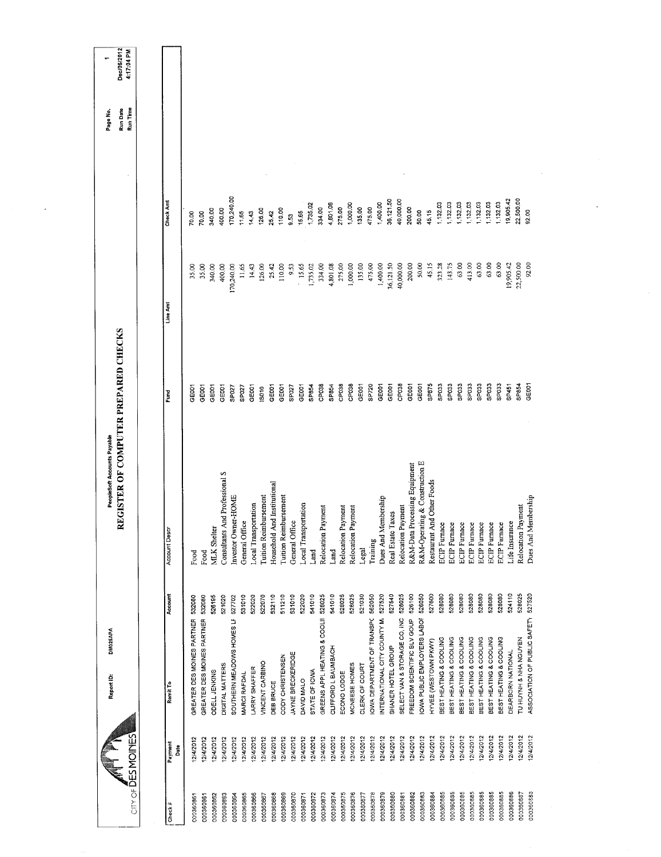|                                |           | DM025APA<br>Report ID:        |         | REGISTER OF COMPUTER PREPARED CHECKS<br>PeopleSoft Accounts Payable |                   |            |            | Run Date<br>Page No. | Dec/06/2012 |
|--------------------------------|-----------|-------------------------------|---------|---------------------------------------------------------------------|-------------------|------------|------------|----------------------|-------------|
| CITY OF DES MOMES              |           |                               |         |                                                                     |                   |            |            | Run Time             | 4:17:04 PM  |
|                                |           |                               |         |                                                                     |                   |            |            |                      |             |
| Payment<br>Check $\frac{3}{2}$ | Date      | Remit To                      | Account | Account Descr                                                       | Fund              | Line Amt   | Check Amt  |                      |             |
| 000360861                      | 2/4/2012  | GREATER DES MOINES PARTNER    | 532080  | Food                                                                | GEOO1             | 35.00      | 70.00      |                      |             |
| 000360861                      | 12/4/2012 | GREATER DES MOINES PARTNER    | 532080  | Food                                                                | GE001             | 35.00      | 70.00      |                      |             |
| 000360862                      | 2/4/2012  | ODELL JENKINS                 | 526195  | <b>MLK</b> Shelter                                                  | GE001             | 340.00     | 340.00     |                      |             |
| 000360863                      | 12/4/2012 | DIGITAL MATTERS               | 521020  | Consultants And Professional S                                      | GE <sub>001</sub> | 400.00     | 400.00     |                      |             |
| 000360864                      | 12/4/2012 | SOUTHERN MEADOWS HOMES LF     | 527702  | Investor Owner-HOME                                                 | SP027             | 170,240.00 | 170,240.00 |                      |             |
| 000360865                      | 12/4/2012 | MARCI RAFDAL                  | 531010  | General Office                                                      | SP027             | 11.65      | 11,65      |                      |             |
| 000360866                      | 12/4/2012 | LARRY SHAFFER                 | 522020  | Local Transportation                                                | GE001             | 14.43      | 14.43      |                      |             |
| 000360867                      | 12/4/2012 | <b><i>JINCENT CARBINO</i></b> | 522070  | <b>Tuition Reimbursement</b>                                        | IS010             | 126.00     | 126.00     |                      |             |
| 000360868                      | 12/4/2012 | DEB BRUCE                     | 532110  | And Institutional<br>Household                                      | GE001             | 25.42      | 25.42      |                      |             |
| 000360869                      | 12/4/2012 | CODY CHRISTENSEN              | 511210  | <b>Tuition Reimbursement</b>                                        | GE <sub>001</sub> | 110.00     | 110.00     |                      |             |
| 000360870                      | 2/4/2012  | JAYNE BRECKERIDGE             | 531010  | General Office                                                      | SP027             | 9.53       | 9.53       |                      |             |
| 000360871                      | 12/4/2012 | DAVID MALO                    | 522020  | Local Transportation                                                | GE001             | 15.65      | 15.65      |                      |             |
| 000360872                      | 12/4/2012 | STATE OF IOWA                 | 541010  | Land                                                                | SP854             | 1,735.02   | 1,735.02   |                      |             |
| 000360873                      | 12/4/2012 | GREENS APPL HEATING & COOL!   | 528025  | Relocation Payment                                                  | CP038             | 334.00     | 334.00     |                      |             |
| 000360874                      | 12/4/2012 | CLIFFORD L BAUMBACH           | 541010  | Land                                                                | SP854             | 4,801.08   | 4,801.08   |                      |             |
| 000360875                      | 12/4/2012 | ECONO LODGE                   | 528025  | Relocation Payment                                                  | CP038             | 275.00     | 275.00     |                      |             |
| 000360876                      | 12/4/2012 | MCNEESE HOMES                 | 528025  | Relocation Payment                                                  | CP038             | 1,000.00   | 1,000.00   |                      |             |
| 000360877                      | 12/4/2012 | CLERK OF COURT                | 521030  | Legal                                                               | GE001             | 135.00     | 135.00     |                      |             |
| 000360878                      | 12/4/2012 | IOWA DEPARTMENT OF TRANSPC    | 562050  | Training                                                            | SP720             | 475.00     | 475.00     |                      |             |
| 000360879                      | 12/4/2012 | INTERNATIONAL CITY COUNTY M.  | 527520  | Membership<br>Dues And                                              | GE001             | 1,400.00   | 1,400.00   |                      |             |
| 000360880                      | 12/4/2012 | SHANER HOTEL GROUP            | 527540  | Real Estate Taxes                                                   | GE001             | 36,121.50  | 36,121.50  |                      |             |
| 000360881                      | 12/4/2012 | SELECT VAN & STORAGE CO, INC  | 528025  | Relocation Payment                                                  | CP038             | 40,000.00  | 40,000.00  |                      |             |
| 000360882                      | 12/4/2012 | FREEDOM SCIENTIFIC BLV GOUP   | 526100  | R&M-Data Processing Equipment                                       | GE001             | 200.00     | 200.00     |                      |             |
| 000360883                      | 12/4/2012 | OWA PUBLIC EMPLOYERS LABOR    | 526050  | R&M-Operating & Construction E                                      | GE001             | 50.00      | 50.00      |                      |             |
| 000360884                      | 12/4/2012 | HYVEE (WESTOWN PKWY)          | 527600  | Restaurant And Other Foods                                          | SP875             | 45.15      | 45.15      |                      |             |
| 000360885                      | 12/4/2012 | BEST HEATING & COOLING        | 528080  | <b>ECIP</b> Furnace                                                 | SPO <sub>33</sub> | 323.28     | 1,132.03   |                      |             |
| 000360885                      | 12/4/2012 | BEST HEATING & COOLING        | 528080  | <b>ECIP</b> Furnace                                                 | SPO33             | 143.75     | 1,132.03   |                      |             |
| 000360885                      | 12/4/2012 | BEST HEATING & COOLING        | 528080  | <b>ECIP</b> Furnace                                                 | SPO33             | 63.00      | 1,132.03   |                      |             |
| 000360885                      | 12/4/2012 | BEST HEATING & COOLING        | 528080  | <b>ECIP</b> Furnace                                                 | SPO33             | 413.00     | 1,132.03   |                      |             |
| 000360885                      | 12/4/2012 | BEST HEATING & COOLING        | 528080  | ECIP Furnace                                                        | SP <sub>033</sub> | 63.00      | 1,132.03   |                      |             |
| 000360885                      | 12/4/2012 | BEST HEATING & COOLING        | 528080  | <b>ECIP</b> Furnace                                                 | SP <sub>033</sub> | 63.00      | 1,132.03   |                      |             |
| 000360885                      | 12/4/2012 | BEST HEATING & COOLING        | 528080  | ECIP Furnace                                                        | SP <sub>033</sub> | 63.00      | 1,132.03   |                      |             |
| 000360886                      | 12/4/2012 | DEARBORN NATIONAL             | 524110  | Life Insurance                                                      | SP451             | 19,905.42  | 9,905.42   |                      |             |
| 000360887                      | 12/4/2012 | TU HUYNH & NHA NGUYEN         | 528025  | Relocation Payment                                                  | SP854             | 22,500.00  | 22,500.00  |                      |             |
| 000360888                      | 12/4/2012 | ASSOCIATION OF PUBLIC SAFETY  | 527520  | Membership<br>Dues And                                              | GE <sub>001</sub> | 92.00      | 92.00      |                      |             |
|                                |           |                               |         |                                                                     |                   |            |            |                      |             |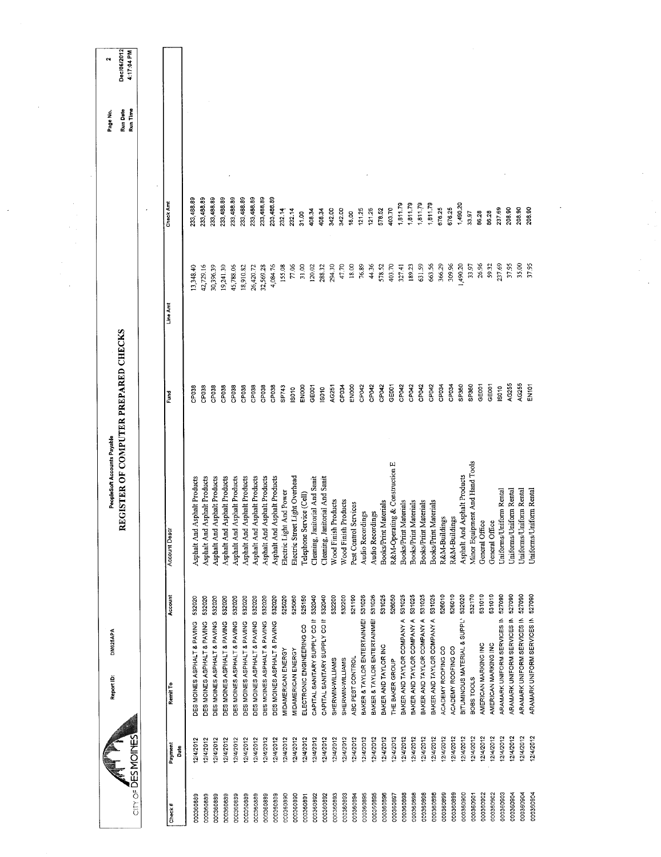|                   |                 | Report ID:                         | DM025APA | PeopleSoft Accounts Payable          |                   |           |            | Page No.             | $\sim$                    |
|-------------------|-----------------|------------------------------------|----------|--------------------------------------|-------------------|-----------|------------|----------------------|---------------------------|
| City of DESMOINES |                 |                                    |          | REGISTER OF COMPUTER PREPARED CHECKS |                   |           |            | Run Date<br>Run Time | Dec/06/2012<br>4:17:04 PM |
|                   |                 |                                    |          |                                      |                   |           |            |                      |                           |
| Check#            | Payment<br>Date | Remit To                           | Account  | Account Descr                        | Ĕ                 | Line Amt  | Check Am   |                      |                           |
| 000360889         | 12/4/2012       | DES MOINES ASPHALT & PAVING        | 532020   | Asphalt And Asphalt Products         | CPI38             | 13,348.40 | 23,488.89  |                      |                           |
| 000360889         | 12/4/2012       | DES MOINES ASPHALT & PAVING        | 532020   | Asphalt And Asphalt Products         | CP038             | 42,729.16 | 233,488.89 |                      |                           |
| 000360889         | 2/4/2012        | DES MOINES ASPHALT & PAVING        | 532020   | Asphalt And Asphalt Products         | CP <sub>038</sub> | 30,396.39 | 233,488.89 |                      |                           |
| 000360889         | 12/4/2012       | DES MOINES ASPHALT & PAVING        | 532020   | Asphalt And Asphalt Products         | CP038             | 19,241.30 | 233,488.89 |                      |                           |
| 000360889         | 12/4/2012       | DES MOINES ASPHALT & PAVING        | 532020   | Asphalt And Asphalt Products         | CP038             | 15,788.06 | 233,488.89 |                      |                           |
| 000360889         | 2/4/2012        | DES MOINES ASPHALT & PAVING        | 532020   | Asphalt And Asphalt Products         | CP038             | 18,910.82 | 233,488.89 |                      |                           |
| 000360889         | 12/4/2012       | DES MOINES ASPHALT & PAVING        | 532020   | Asphalt And Asphalt Products         | CP <sub>038</sub> | 26,420.72 | 233,488.89 |                      |                           |
| 000360889         | 12/4/2012       | DES MOINES ASPHALT & PAVING        | 532020   | Asphalt And Asphalt Products         | CP <sub>038</sub> | 32,569.28 | 233,488.89 |                      |                           |
| 000360889         | 2/4/2012        | DES MOINES ASPHALT & PAVING        | 532020   | Asphalt And Asphalt Products         | CP038             | 4,084.76  | 233,488.89 |                      |                           |
| 000360890         | 12/4/2012       | MIDAMERICAN ENERGY                 | 525020   | Electric Light And Power             | SP743             | 155.08    | 232.14     |                      |                           |
| 000360890         | 12/4/2012       | MIDAMERICAN ENERGY                 | 525060   | Electric Street Light Overhead       | IS010             | 77.06     | 232.14     |                      |                           |
| 000360891         | 2/4/2012        | ELECTRONIC ENGINEERING CO          | 525150   | Telephone Service (Cell)             | ENOOO             | 31.00     | 31.00      |                      |                           |
| 000360892         | 12/4/2012       | CAPITAL SANITARY SUPPLY CO II      | 532040   | Cleaning, Janitorial And Sanit       | GE001             | 120.02    | 408.34     |                      |                           |
| 000360892         | 12/4/2012       | CAPITAL SANITARY SUPPLY CO II      | 532040   | Janitorial And Sanit<br>Cleaning, .  | IS010             | 288.32    | 408.34     |                      |                           |
| 000360893         | 12/4/2012       | SHERWIN-WILLIAMS                   | 532200   | Wood Finish Products                 | AG251             | 294.30    | 342.00     |                      |                           |
| 000360893         | 12/4/2012       | SHERWIN-WILLIAMS                   | 532200   | Wood Finish Products                 | CP <sub>034</sub> | 47.70     | 342.00     |                      |                           |
| 000360894         | 12/4/2012       | ABC PEST CONTROL                   | 521190   | Pest Control Services                | <b>EN000</b>      | 18.00     | 18,00      |                      |                           |
| 000360895         | 12/4/2012       | BAKER & TAYLOR ENTERTAINME!        | 531026   | Audio Recordings                     | CP042             | 76.89     | 121.25     |                      |                           |
| 000360895         | 12/4/2012       | BAKER & TAYLOR ENTERTAINME!        | 531026   | Audio Recordings                     | CP042             | 44.36     | 121.25     |                      |                           |
| 000360896         | 12/4/2012       | BAKER AND TAYLOR INC               | 531025   | Books/Print Materials                | CP042             | 578.52    | 578.52     |                      |                           |
| 000360897         | 12/4/2012       | THE BAKER GROUP                    | 526050   | R&M-Operating & Construction E       | GE001             | 403.70    | 403.70     |                      |                           |
| 000360898         | 12/4/2012       | BAKER AND TAYLOR COMPANY A         | 531025   | Books/Print Materials                | CP042             | 327.41    | 1,811.79   |                      |                           |
| 000360898         | 12/4/2012       | BAKER AND TAYLOR COMPANY A         | 531025   | <b>Books/Print Materials</b>         | CP042             | 189.23    | 1,811.79   |                      |                           |
| 000360898         | 12/4/2012       | BAKER AND TAYLOR COMPANY A         | 531025   | Books/Print Materials                | CP042             | 631.59    | 1,811.79   |                      |                           |
| 000360898         | 12/4/2012       | BAKER AND TAYLOR COMPANY A         | 531025   | Books/Print Materials                | CP042             | 663.56    | 1,811.79   |                      |                           |
| 000360899         | 12/4/2012       | ACADEMY ROOFING CO                 | 526010   | R&M-Buildings                        | CP034             | 366.29    | 676.25     |                      |                           |
| 000360899         | 2/4/2012        | ACADEMY ROOFING CO                 | 526010   | R&M-Buildings                        | CP034             | 309.96    | 676.25     |                      |                           |
| 000360900         | 12/4/2012       | BITUMINOUS MATERIAL & SUPPLY       | 532020   | Asphalt And Asphalt Products         | SP360             | 1,490.20  | 1,490.20   |                      |                           |
| 000360901         | 12/4/2012       | BOBS TOOLS                         | 532170   | Minor Equipment And Hand Tools       | SP360             | 33.97     | 33.97      |                      |                           |
| 000360902         | 12/4/2012       | AMERICAN MARKING INC               | 531010   | General Office                       | GE <sub>001</sub> | 26.96     | 86.28      |                      |                           |
| 000360902         | 12/4/2012       | AMERICAN MARKING INC               | 531010   | General Office                       | GE001             | 59.32     | 86.28      |                      |                           |
| 000360903         | 12/4/2012       | ARAMARK UNIFORM SERVICES IN        | 527090   | Uniforms/Uniform Rental              | IS010             | 237.69    | 237.69     |                      |                           |
| 000360904         | 12/4/2012       | ARAMARK UNIFORM SERVICES IN        | 527090   | Uniforms/Uniform Rental              | AG255             | 37.95     | 208.90     |                      |                           |
| 000360904         | 12/4/2012       | ARAMARK UNIFORM SERVICES IN        | 527090   | Uniforms/Uniform Rental              | AG255             | 35.00     | 208,90     |                      |                           |
| 000360904         | 12/4/2012       | ARAMARK UNIFORM SERVICES IN 527090 |          | Uniforms/Uniform Rental              | EN101             | 37.95     | 208,90     |                      |                           |
|                   |                 |                                    |          |                                      |                   |           |            |                      |                           |

 $\mathcal{L}_{\mathcal{A}}$ 

 $\bar{\mathcal{L}}$ 

 $\hat{\mathcal{A}}$ 

 $\ddot{\phantom{a}}$ 

 $\overline{\phantom{a}}$ 

 $\frac{1}{2}$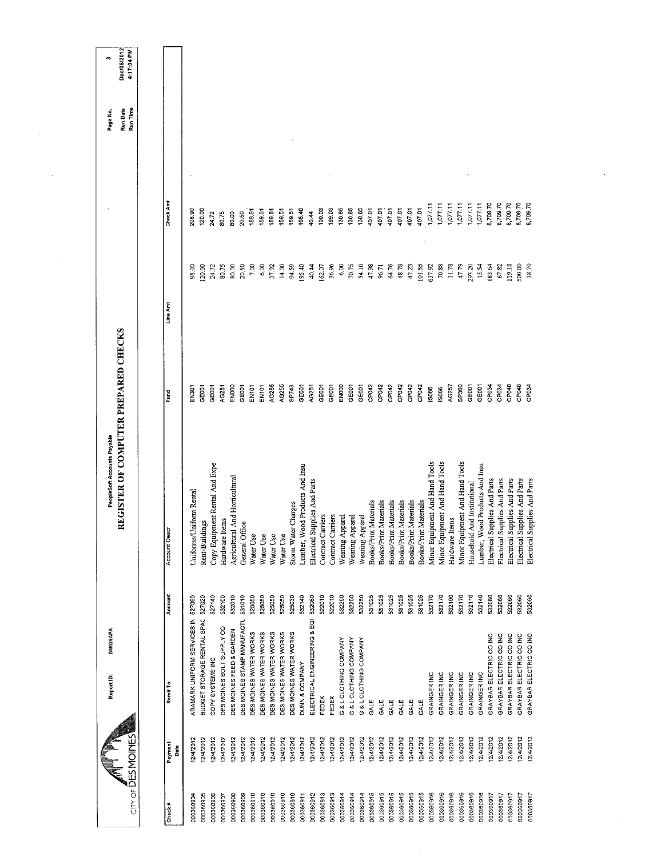| Check Amt<br>8,709.70<br>8,709.70<br>8,709.70<br>8,709.70<br>8,709.70<br>1,077.11<br>1,077.11<br>1,077.11<br>1,077.11<br>1,077.11<br>1,077.11<br>407.01<br>199.03<br>130.85<br>130.85<br>130.85<br>407.01<br>407.01<br>19903<br>407.01<br>407.01<br>407.01<br>120.00<br>195.40<br>208.90<br>159,51<br>159.51<br>159.51<br>15951<br>159.51<br>80.75<br>20.50<br>40.44<br>24.72<br>80.00<br>6,00<br>195.40<br>36.96<br>6,00<br>47.98<br>64.76<br>47.23<br>101.55<br>70.88<br>38.70<br>20,50<br>7.00<br>14.00<br>94.59<br>40.44<br>70.75<br>54.10<br>96.71<br>48.78<br>637.92<br>11.78<br>47.79<br>293.20<br>119.18<br>500,00<br>20.00<br>80.00<br>37.92<br>162.07<br>15.54<br>98.00<br>24.72<br>80.75<br>183.64<br>67.82<br>Line Am<br>AG255<br>AG255<br>SP743<br>ENOOO<br>CP042<br>CP042<br>CP040<br>ENOOO<br>CP <sub>D42</sub><br>CP042<br>CP042<br>CP042<br>AG257<br>SP360<br>GE001<br>CP034<br>CP040<br>GE001<br>GE001<br>EN101<br>EN101<br>GE001<br>AG251<br>GE001<br>GE <sub>001</sub><br>GE001<br>GE001<br>GEOOT<br>CP034<br><b>COd5</b><br>GE001<br>AG251<br><b>SO66</b><br>IS066<br>EN301<br>Fund<br>Minor Equipment And Hand Tools<br>Minor Equipment And Hand Tools<br>Minor Equipment And Hand Tools<br>Copy Equipment Rental And Expe<br>Lumber, Wood Products And Insu<br>Lumber, Wood Products And Insu<br>And Horticultural<br>Electrical Supplies And Parts<br>Electrical Supplies And Parts<br>Electrical Supplies And Parts<br>Electrical Supplies And Parts<br>Electrical Supplies And Parts<br>Electrical Supplies And Parts<br>Household And Institutional<br>Uniforms/Uniform Rental<br>Materials<br>Materials<br>Materials<br>Materials<br>Materials<br>Materials<br>Storm Water Charges<br>Contract Carriers<br>Contract Carriers<br>Wearing Apparel<br>Wearing Apparel<br>Wearing Apparel<br>Hardware Items<br>Hardware Items<br>Rent-Buildings<br>General Office<br><b>Account Desc</b><br>Agricultural<br><b>Books/Print</b><br><b>Books/Print</b><br><b>Books/Print</b><br><b>Books/Print</b><br><b>Books/Print</b><br><b>Books/Print</b><br>Water Use<br>Water Use<br>Water Use<br>Water Use<br>Account<br>522010<br>522010<br>531025<br>532170<br>532110<br>532140<br>532060<br>BUDGET STORAGE RENTAL SPAC 527020<br>527140<br>532100<br>532010<br>531010<br>525050<br>525050<br>525050<br>525030<br>532140<br>532060<br>532250<br>532250<br>532250<br>531025<br>531025<br>531025<br>531025<br>531025<br>532170<br>532100<br>532170<br>532060<br>532060<br>532060<br>532060<br>525050<br>ARAMARK UNIFORM SERVICES IN 527090<br>ELECTRICAL ENGINEERING & EQI<br>DES MOINES STAMP MANUFACTU<br>DES MOINES BOLT SUPPLY CO<br>DES MOINES FEED & GARDEN<br>DES MOINES WATER WORKS<br>DES MOINES WATER WORKS<br>DES MOINES WATER WORKS<br>DES MOINES WATER WORKS<br>DES MOINES WATER WORKS<br>GRAYBAR ELECTRIC CO INC<br>GRAYBAR ELECTRIC CO INC<br>GRAYBAR ELECTRIC CO INC<br>GRAYBAR ELECTRIC CO INC<br>GRAYBAR ELECTRIC CO INC<br>G & L CLOTHING COMPANY<br>G & L CLOTHING COMPANY<br>G & L CLOTHING COMPANY<br>COPY SYSTEMS INC<br>DUNN & COMPANY<br>GRAINGER INC<br>GRAINGER INC<br>GRAINGER INC<br>GRAINGER INC<br>GRAINGER INC<br>GRAINGER INC<br>Remit To<br>FEDEX<br>FEDEX<br>GALE<br>GALE<br>GALE<br>GALE<br>GALE<br>CALE<br>12/4/2012<br>12/4/2012<br>12/4/2012<br>12/4/2012<br>12/4/2012<br>12/4/2012<br>2/4/2012<br>12/4/2012<br>12/4/2012<br>2/4/2012<br>12/4/2012<br>12/4/2012<br>2/4/2012<br>12/4/2012<br>12/4/2012<br>12/4/2012<br>12/4/2012<br>12/4/2012<br>12/4/2012<br>12/4/2012<br>12/4/2012<br>12/4/2012<br>12/4/2012<br>12/4/2012<br>12/4/2012<br>12/4/2012<br>2/4/2012<br>12/4/2012<br>12/4/2012<br>12/4/2012<br>12/4/2012<br>12/4/2012<br>12/4/2012<br>12/4/2012<br>12/4/2012<br>Payment<br>Date<br>000360915<br>000360916<br>000360916<br>000360916<br>000360916<br>000360915<br>000360915<br>000360915<br>000360915<br>000360915<br>000360916<br>000360916<br>000360917<br>000360917<br>000360910<br>000360910<br>000360910<br>000360910<br>000360912<br>000360913<br>000360913<br>000360914<br>000360914<br>000360914<br>000360917<br>000360917<br>000360917<br>000360905<br>000360908<br>000360910<br>000360911<br>000360904<br>000360906<br>000360907<br>000360909<br>Check# | CITN OF DES MOMOINES | DM025APA<br>Report ID: | REGISTER OF COMPUTER PREPARED CHECKS<br>PeopleSoft Accounts Payable |  | Run Date<br>Run Time<br>Page No | Dec/06/2012<br>417:04 PM<br>m |
|-----------------------------------------------------------------------------------------------------------------------------------------------------------------------------------------------------------------------------------------------------------------------------------------------------------------------------------------------------------------------------------------------------------------------------------------------------------------------------------------------------------------------------------------------------------------------------------------------------------------------------------------------------------------------------------------------------------------------------------------------------------------------------------------------------------------------------------------------------------------------------------------------------------------------------------------------------------------------------------------------------------------------------------------------------------------------------------------------------------------------------------------------------------------------------------------------------------------------------------------------------------------------------------------------------------------------------------------------------------------------------------------------------------------------------------------------------------------------------------------------------------------------------------------------------------------------------------------------------------------------------------------------------------------------------------------------------------------------------------------------------------------------------------------------------------------------------------------------------------------------------------------------------------------------------------------------------------------------------------------------------------------------------------------------------------------------------------------------------------------------------------------------------------------------------------------------------------------------------------------------------------------------------------------------------------------------------------------------------------------------------------------------------------------------------------------------------------------------------------------------------------------------------------------------------------------------------------------------------------------------------------------------------------------------------------------------------------------------------------------------------------------------------------------------------------------------------------------------------------------------------------------------------------------------------------------------------------------------------------------------------------------------------------------------------------------------------------------------------------------------------------------------------------------------------------------------------------------------------------------------------------------------------------------------------------------------------------------------------------------------------------------------------------------------------------------------------------------------------------------------------------------------------------------------------------------------------------------------------------------------------------------------------------------------------------------------------------------------------------------------------------------------------------------------------------------------------------------------------------------------------------------------------------------------------------------------------------------------------------------------------------------------------------------------------------------------------------------------------------------------------------------------------------------------------------------------------------------------------------|----------------------|------------------------|---------------------------------------------------------------------|--|---------------------------------|-------------------------------|
|                                                                                                                                                                                                                                                                                                                                                                                                                                                                                                                                                                                                                                                                                                                                                                                                                                                                                                                                                                                                                                                                                                                                                                                                                                                                                                                                                                                                                                                                                                                                                                                                                                                                                                                                                                                                                                                                                                                                                                                                                                                                                                                                                                                                                                                                                                                                                                                                                                                                                                                                                                                                                                                                                                                                                                                                                                                                                                                                                                                                                                                                                                                                                                                                                                                                                                                                                                                                                                                                                                                                                                                                                                                                                                                                                                                                                                                                                                                                                                                                                                                                                                                                                                                                                                   |                      |                        |                                                                     |  |                                 |                               |
|                                                                                                                                                                                                                                                                                                                                                                                                                                                                                                                                                                                                                                                                                                                                                                                                                                                                                                                                                                                                                                                                                                                                                                                                                                                                                                                                                                                                                                                                                                                                                                                                                                                                                                                                                                                                                                                                                                                                                                                                                                                                                                                                                                                                                                                                                                                                                                                                                                                                                                                                                                                                                                                                                                                                                                                                                                                                                                                                                                                                                                                                                                                                                                                                                                                                                                                                                                                                                                                                                                                                                                                                                                                                                                                                                                                                                                                                                                                                                                                                                                                                                                                                                                                                                                   |                      |                        |                                                                     |  |                                 |                               |
|                                                                                                                                                                                                                                                                                                                                                                                                                                                                                                                                                                                                                                                                                                                                                                                                                                                                                                                                                                                                                                                                                                                                                                                                                                                                                                                                                                                                                                                                                                                                                                                                                                                                                                                                                                                                                                                                                                                                                                                                                                                                                                                                                                                                                                                                                                                                                                                                                                                                                                                                                                                                                                                                                                                                                                                                                                                                                                                                                                                                                                                                                                                                                                                                                                                                                                                                                                                                                                                                                                                                                                                                                                                                                                                                                                                                                                                                                                                                                                                                                                                                                                                                                                                                                                   |                      |                        |                                                                     |  |                                 |                               |
|                                                                                                                                                                                                                                                                                                                                                                                                                                                                                                                                                                                                                                                                                                                                                                                                                                                                                                                                                                                                                                                                                                                                                                                                                                                                                                                                                                                                                                                                                                                                                                                                                                                                                                                                                                                                                                                                                                                                                                                                                                                                                                                                                                                                                                                                                                                                                                                                                                                                                                                                                                                                                                                                                                                                                                                                                                                                                                                                                                                                                                                                                                                                                                                                                                                                                                                                                                                                                                                                                                                                                                                                                                                                                                                                                                                                                                                                                                                                                                                                                                                                                                                                                                                                                                   |                      |                        |                                                                     |  |                                 |                               |
|                                                                                                                                                                                                                                                                                                                                                                                                                                                                                                                                                                                                                                                                                                                                                                                                                                                                                                                                                                                                                                                                                                                                                                                                                                                                                                                                                                                                                                                                                                                                                                                                                                                                                                                                                                                                                                                                                                                                                                                                                                                                                                                                                                                                                                                                                                                                                                                                                                                                                                                                                                                                                                                                                                                                                                                                                                                                                                                                                                                                                                                                                                                                                                                                                                                                                                                                                                                                                                                                                                                                                                                                                                                                                                                                                                                                                                                                                                                                                                                                                                                                                                                                                                                                                                   |                      |                        |                                                                     |  |                                 |                               |
|                                                                                                                                                                                                                                                                                                                                                                                                                                                                                                                                                                                                                                                                                                                                                                                                                                                                                                                                                                                                                                                                                                                                                                                                                                                                                                                                                                                                                                                                                                                                                                                                                                                                                                                                                                                                                                                                                                                                                                                                                                                                                                                                                                                                                                                                                                                                                                                                                                                                                                                                                                                                                                                                                                                                                                                                                                                                                                                                                                                                                                                                                                                                                                                                                                                                                                                                                                                                                                                                                                                                                                                                                                                                                                                                                                                                                                                                                                                                                                                                                                                                                                                                                                                                                                   |                      |                        |                                                                     |  |                                 |                               |
|                                                                                                                                                                                                                                                                                                                                                                                                                                                                                                                                                                                                                                                                                                                                                                                                                                                                                                                                                                                                                                                                                                                                                                                                                                                                                                                                                                                                                                                                                                                                                                                                                                                                                                                                                                                                                                                                                                                                                                                                                                                                                                                                                                                                                                                                                                                                                                                                                                                                                                                                                                                                                                                                                                                                                                                                                                                                                                                                                                                                                                                                                                                                                                                                                                                                                                                                                                                                                                                                                                                                                                                                                                                                                                                                                                                                                                                                                                                                                                                                                                                                                                                                                                                                                                   |                      |                        |                                                                     |  |                                 |                               |
|                                                                                                                                                                                                                                                                                                                                                                                                                                                                                                                                                                                                                                                                                                                                                                                                                                                                                                                                                                                                                                                                                                                                                                                                                                                                                                                                                                                                                                                                                                                                                                                                                                                                                                                                                                                                                                                                                                                                                                                                                                                                                                                                                                                                                                                                                                                                                                                                                                                                                                                                                                                                                                                                                                                                                                                                                                                                                                                                                                                                                                                                                                                                                                                                                                                                                                                                                                                                                                                                                                                                                                                                                                                                                                                                                                                                                                                                                                                                                                                                                                                                                                                                                                                                                                   |                      |                        |                                                                     |  |                                 |                               |
|                                                                                                                                                                                                                                                                                                                                                                                                                                                                                                                                                                                                                                                                                                                                                                                                                                                                                                                                                                                                                                                                                                                                                                                                                                                                                                                                                                                                                                                                                                                                                                                                                                                                                                                                                                                                                                                                                                                                                                                                                                                                                                                                                                                                                                                                                                                                                                                                                                                                                                                                                                                                                                                                                                                                                                                                                                                                                                                                                                                                                                                                                                                                                                                                                                                                                                                                                                                                                                                                                                                                                                                                                                                                                                                                                                                                                                                                                                                                                                                                                                                                                                                                                                                                                                   |                      |                        |                                                                     |  |                                 |                               |
|                                                                                                                                                                                                                                                                                                                                                                                                                                                                                                                                                                                                                                                                                                                                                                                                                                                                                                                                                                                                                                                                                                                                                                                                                                                                                                                                                                                                                                                                                                                                                                                                                                                                                                                                                                                                                                                                                                                                                                                                                                                                                                                                                                                                                                                                                                                                                                                                                                                                                                                                                                                                                                                                                                                                                                                                                                                                                                                                                                                                                                                                                                                                                                                                                                                                                                                                                                                                                                                                                                                                                                                                                                                                                                                                                                                                                                                                                                                                                                                                                                                                                                                                                                                                                                   |                      |                        |                                                                     |  |                                 |                               |
|                                                                                                                                                                                                                                                                                                                                                                                                                                                                                                                                                                                                                                                                                                                                                                                                                                                                                                                                                                                                                                                                                                                                                                                                                                                                                                                                                                                                                                                                                                                                                                                                                                                                                                                                                                                                                                                                                                                                                                                                                                                                                                                                                                                                                                                                                                                                                                                                                                                                                                                                                                                                                                                                                                                                                                                                                                                                                                                                                                                                                                                                                                                                                                                                                                                                                                                                                                                                                                                                                                                                                                                                                                                                                                                                                                                                                                                                                                                                                                                                                                                                                                                                                                                                                                   |                      |                        |                                                                     |  |                                 |                               |
|                                                                                                                                                                                                                                                                                                                                                                                                                                                                                                                                                                                                                                                                                                                                                                                                                                                                                                                                                                                                                                                                                                                                                                                                                                                                                                                                                                                                                                                                                                                                                                                                                                                                                                                                                                                                                                                                                                                                                                                                                                                                                                                                                                                                                                                                                                                                                                                                                                                                                                                                                                                                                                                                                                                                                                                                                                                                                                                                                                                                                                                                                                                                                                                                                                                                                                                                                                                                                                                                                                                                                                                                                                                                                                                                                                                                                                                                                                                                                                                                                                                                                                                                                                                                                                   |                      |                        |                                                                     |  |                                 |                               |
|                                                                                                                                                                                                                                                                                                                                                                                                                                                                                                                                                                                                                                                                                                                                                                                                                                                                                                                                                                                                                                                                                                                                                                                                                                                                                                                                                                                                                                                                                                                                                                                                                                                                                                                                                                                                                                                                                                                                                                                                                                                                                                                                                                                                                                                                                                                                                                                                                                                                                                                                                                                                                                                                                                                                                                                                                                                                                                                                                                                                                                                                                                                                                                                                                                                                                                                                                                                                                                                                                                                                                                                                                                                                                                                                                                                                                                                                                                                                                                                                                                                                                                                                                                                                                                   |                      |                        |                                                                     |  |                                 |                               |
|                                                                                                                                                                                                                                                                                                                                                                                                                                                                                                                                                                                                                                                                                                                                                                                                                                                                                                                                                                                                                                                                                                                                                                                                                                                                                                                                                                                                                                                                                                                                                                                                                                                                                                                                                                                                                                                                                                                                                                                                                                                                                                                                                                                                                                                                                                                                                                                                                                                                                                                                                                                                                                                                                                                                                                                                                                                                                                                                                                                                                                                                                                                                                                                                                                                                                                                                                                                                                                                                                                                                                                                                                                                                                                                                                                                                                                                                                                                                                                                                                                                                                                                                                                                                                                   |                      |                        |                                                                     |  |                                 |                               |
|                                                                                                                                                                                                                                                                                                                                                                                                                                                                                                                                                                                                                                                                                                                                                                                                                                                                                                                                                                                                                                                                                                                                                                                                                                                                                                                                                                                                                                                                                                                                                                                                                                                                                                                                                                                                                                                                                                                                                                                                                                                                                                                                                                                                                                                                                                                                                                                                                                                                                                                                                                                                                                                                                                                                                                                                                                                                                                                                                                                                                                                                                                                                                                                                                                                                                                                                                                                                                                                                                                                                                                                                                                                                                                                                                                                                                                                                                                                                                                                                                                                                                                                                                                                                                                   |                      |                        |                                                                     |  |                                 |                               |
|                                                                                                                                                                                                                                                                                                                                                                                                                                                                                                                                                                                                                                                                                                                                                                                                                                                                                                                                                                                                                                                                                                                                                                                                                                                                                                                                                                                                                                                                                                                                                                                                                                                                                                                                                                                                                                                                                                                                                                                                                                                                                                                                                                                                                                                                                                                                                                                                                                                                                                                                                                                                                                                                                                                                                                                                                                                                                                                                                                                                                                                                                                                                                                                                                                                                                                                                                                                                                                                                                                                                                                                                                                                                                                                                                                                                                                                                                                                                                                                                                                                                                                                                                                                                                                   |                      |                        |                                                                     |  |                                 |                               |
|                                                                                                                                                                                                                                                                                                                                                                                                                                                                                                                                                                                                                                                                                                                                                                                                                                                                                                                                                                                                                                                                                                                                                                                                                                                                                                                                                                                                                                                                                                                                                                                                                                                                                                                                                                                                                                                                                                                                                                                                                                                                                                                                                                                                                                                                                                                                                                                                                                                                                                                                                                                                                                                                                                                                                                                                                                                                                                                                                                                                                                                                                                                                                                                                                                                                                                                                                                                                                                                                                                                                                                                                                                                                                                                                                                                                                                                                                                                                                                                                                                                                                                                                                                                                                                   |                      |                        |                                                                     |  |                                 |                               |
|                                                                                                                                                                                                                                                                                                                                                                                                                                                                                                                                                                                                                                                                                                                                                                                                                                                                                                                                                                                                                                                                                                                                                                                                                                                                                                                                                                                                                                                                                                                                                                                                                                                                                                                                                                                                                                                                                                                                                                                                                                                                                                                                                                                                                                                                                                                                                                                                                                                                                                                                                                                                                                                                                                                                                                                                                                                                                                                                                                                                                                                                                                                                                                                                                                                                                                                                                                                                                                                                                                                                                                                                                                                                                                                                                                                                                                                                                                                                                                                                                                                                                                                                                                                                                                   |                      |                        |                                                                     |  |                                 |                               |
|                                                                                                                                                                                                                                                                                                                                                                                                                                                                                                                                                                                                                                                                                                                                                                                                                                                                                                                                                                                                                                                                                                                                                                                                                                                                                                                                                                                                                                                                                                                                                                                                                                                                                                                                                                                                                                                                                                                                                                                                                                                                                                                                                                                                                                                                                                                                                                                                                                                                                                                                                                                                                                                                                                                                                                                                                                                                                                                                                                                                                                                                                                                                                                                                                                                                                                                                                                                                                                                                                                                                                                                                                                                                                                                                                                                                                                                                                                                                                                                                                                                                                                                                                                                                                                   |                      |                        |                                                                     |  |                                 |                               |
|                                                                                                                                                                                                                                                                                                                                                                                                                                                                                                                                                                                                                                                                                                                                                                                                                                                                                                                                                                                                                                                                                                                                                                                                                                                                                                                                                                                                                                                                                                                                                                                                                                                                                                                                                                                                                                                                                                                                                                                                                                                                                                                                                                                                                                                                                                                                                                                                                                                                                                                                                                                                                                                                                                                                                                                                                                                                                                                                                                                                                                                                                                                                                                                                                                                                                                                                                                                                                                                                                                                                                                                                                                                                                                                                                                                                                                                                                                                                                                                                                                                                                                                                                                                                                                   |                      |                        |                                                                     |  |                                 |                               |
|                                                                                                                                                                                                                                                                                                                                                                                                                                                                                                                                                                                                                                                                                                                                                                                                                                                                                                                                                                                                                                                                                                                                                                                                                                                                                                                                                                                                                                                                                                                                                                                                                                                                                                                                                                                                                                                                                                                                                                                                                                                                                                                                                                                                                                                                                                                                                                                                                                                                                                                                                                                                                                                                                                                                                                                                                                                                                                                                                                                                                                                                                                                                                                                                                                                                                                                                                                                                                                                                                                                                                                                                                                                                                                                                                                                                                                                                                                                                                                                                                                                                                                                                                                                                                                   |                      |                        |                                                                     |  |                                 |                               |
|                                                                                                                                                                                                                                                                                                                                                                                                                                                                                                                                                                                                                                                                                                                                                                                                                                                                                                                                                                                                                                                                                                                                                                                                                                                                                                                                                                                                                                                                                                                                                                                                                                                                                                                                                                                                                                                                                                                                                                                                                                                                                                                                                                                                                                                                                                                                                                                                                                                                                                                                                                                                                                                                                                                                                                                                                                                                                                                                                                                                                                                                                                                                                                                                                                                                                                                                                                                                                                                                                                                                                                                                                                                                                                                                                                                                                                                                                                                                                                                                                                                                                                                                                                                                                                   |                      |                        |                                                                     |  |                                 |                               |
|                                                                                                                                                                                                                                                                                                                                                                                                                                                                                                                                                                                                                                                                                                                                                                                                                                                                                                                                                                                                                                                                                                                                                                                                                                                                                                                                                                                                                                                                                                                                                                                                                                                                                                                                                                                                                                                                                                                                                                                                                                                                                                                                                                                                                                                                                                                                                                                                                                                                                                                                                                                                                                                                                                                                                                                                                                                                                                                                                                                                                                                                                                                                                                                                                                                                                                                                                                                                                                                                                                                                                                                                                                                                                                                                                                                                                                                                                                                                                                                                                                                                                                                                                                                                                                   |                      |                        |                                                                     |  |                                 |                               |
|                                                                                                                                                                                                                                                                                                                                                                                                                                                                                                                                                                                                                                                                                                                                                                                                                                                                                                                                                                                                                                                                                                                                                                                                                                                                                                                                                                                                                                                                                                                                                                                                                                                                                                                                                                                                                                                                                                                                                                                                                                                                                                                                                                                                                                                                                                                                                                                                                                                                                                                                                                                                                                                                                                                                                                                                                                                                                                                                                                                                                                                                                                                                                                                                                                                                                                                                                                                                                                                                                                                                                                                                                                                                                                                                                                                                                                                                                                                                                                                                                                                                                                                                                                                                                                   |                      |                        |                                                                     |  |                                 |                               |
|                                                                                                                                                                                                                                                                                                                                                                                                                                                                                                                                                                                                                                                                                                                                                                                                                                                                                                                                                                                                                                                                                                                                                                                                                                                                                                                                                                                                                                                                                                                                                                                                                                                                                                                                                                                                                                                                                                                                                                                                                                                                                                                                                                                                                                                                                                                                                                                                                                                                                                                                                                                                                                                                                                                                                                                                                                                                                                                                                                                                                                                                                                                                                                                                                                                                                                                                                                                                                                                                                                                                                                                                                                                                                                                                                                                                                                                                                                                                                                                                                                                                                                                                                                                                                                   |                      |                        |                                                                     |  |                                 |                               |
|                                                                                                                                                                                                                                                                                                                                                                                                                                                                                                                                                                                                                                                                                                                                                                                                                                                                                                                                                                                                                                                                                                                                                                                                                                                                                                                                                                                                                                                                                                                                                                                                                                                                                                                                                                                                                                                                                                                                                                                                                                                                                                                                                                                                                                                                                                                                                                                                                                                                                                                                                                                                                                                                                                                                                                                                                                                                                                                                                                                                                                                                                                                                                                                                                                                                                                                                                                                                                                                                                                                                                                                                                                                                                                                                                                                                                                                                                                                                                                                                                                                                                                                                                                                                                                   |                      |                        |                                                                     |  |                                 |                               |
|                                                                                                                                                                                                                                                                                                                                                                                                                                                                                                                                                                                                                                                                                                                                                                                                                                                                                                                                                                                                                                                                                                                                                                                                                                                                                                                                                                                                                                                                                                                                                                                                                                                                                                                                                                                                                                                                                                                                                                                                                                                                                                                                                                                                                                                                                                                                                                                                                                                                                                                                                                                                                                                                                                                                                                                                                                                                                                                                                                                                                                                                                                                                                                                                                                                                                                                                                                                                                                                                                                                                                                                                                                                                                                                                                                                                                                                                                                                                                                                                                                                                                                                                                                                                                                   |                      |                        |                                                                     |  |                                 |                               |
|                                                                                                                                                                                                                                                                                                                                                                                                                                                                                                                                                                                                                                                                                                                                                                                                                                                                                                                                                                                                                                                                                                                                                                                                                                                                                                                                                                                                                                                                                                                                                                                                                                                                                                                                                                                                                                                                                                                                                                                                                                                                                                                                                                                                                                                                                                                                                                                                                                                                                                                                                                                                                                                                                                                                                                                                                                                                                                                                                                                                                                                                                                                                                                                                                                                                                                                                                                                                                                                                                                                                                                                                                                                                                                                                                                                                                                                                                                                                                                                                                                                                                                                                                                                                                                   |                      |                        |                                                                     |  |                                 |                               |
|                                                                                                                                                                                                                                                                                                                                                                                                                                                                                                                                                                                                                                                                                                                                                                                                                                                                                                                                                                                                                                                                                                                                                                                                                                                                                                                                                                                                                                                                                                                                                                                                                                                                                                                                                                                                                                                                                                                                                                                                                                                                                                                                                                                                                                                                                                                                                                                                                                                                                                                                                                                                                                                                                                                                                                                                                                                                                                                                                                                                                                                                                                                                                                                                                                                                                                                                                                                                                                                                                                                                                                                                                                                                                                                                                                                                                                                                                                                                                                                                                                                                                                                                                                                                                                   |                      |                        |                                                                     |  |                                 |                               |
|                                                                                                                                                                                                                                                                                                                                                                                                                                                                                                                                                                                                                                                                                                                                                                                                                                                                                                                                                                                                                                                                                                                                                                                                                                                                                                                                                                                                                                                                                                                                                                                                                                                                                                                                                                                                                                                                                                                                                                                                                                                                                                                                                                                                                                                                                                                                                                                                                                                                                                                                                                                                                                                                                                                                                                                                                                                                                                                                                                                                                                                                                                                                                                                                                                                                                                                                                                                                                                                                                                                                                                                                                                                                                                                                                                                                                                                                                                                                                                                                                                                                                                                                                                                                                                   |                      |                        |                                                                     |  |                                 |                               |
|                                                                                                                                                                                                                                                                                                                                                                                                                                                                                                                                                                                                                                                                                                                                                                                                                                                                                                                                                                                                                                                                                                                                                                                                                                                                                                                                                                                                                                                                                                                                                                                                                                                                                                                                                                                                                                                                                                                                                                                                                                                                                                                                                                                                                                                                                                                                                                                                                                                                                                                                                                                                                                                                                                                                                                                                                                                                                                                                                                                                                                                                                                                                                                                                                                                                                                                                                                                                                                                                                                                                                                                                                                                                                                                                                                                                                                                                                                                                                                                                                                                                                                                                                                                                                                   |                      |                        |                                                                     |  |                                 |                               |
|                                                                                                                                                                                                                                                                                                                                                                                                                                                                                                                                                                                                                                                                                                                                                                                                                                                                                                                                                                                                                                                                                                                                                                                                                                                                                                                                                                                                                                                                                                                                                                                                                                                                                                                                                                                                                                                                                                                                                                                                                                                                                                                                                                                                                                                                                                                                                                                                                                                                                                                                                                                                                                                                                                                                                                                                                                                                                                                                                                                                                                                                                                                                                                                                                                                                                                                                                                                                                                                                                                                                                                                                                                                                                                                                                                                                                                                                                                                                                                                                                                                                                                                                                                                                                                   |                      |                        |                                                                     |  |                                 |                               |
|                                                                                                                                                                                                                                                                                                                                                                                                                                                                                                                                                                                                                                                                                                                                                                                                                                                                                                                                                                                                                                                                                                                                                                                                                                                                                                                                                                                                                                                                                                                                                                                                                                                                                                                                                                                                                                                                                                                                                                                                                                                                                                                                                                                                                                                                                                                                                                                                                                                                                                                                                                                                                                                                                                                                                                                                                                                                                                                                                                                                                                                                                                                                                                                                                                                                                                                                                                                                                                                                                                                                                                                                                                                                                                                                                                                                                                                                                                                                                                                                                                                                                                                                                                                                                                   |                      |                        |                                                                     |  |                                 |                               |
|                                                                                                                                                                                                                                                                                                                                                                                                                                                                                                                                                                                                                                                                                                                                                                                                                                                                                                                                                                                                                                                                                                                                                                                                                                                                                                                                                                                                                                                                                                                                                                                                                                                                                                                                                                                                                                                                                                                                                                                                                                                                                                                                                                                                                                                                                                                                                                                                                                                                                                                                                                                                                                                                                                                                                                                                                                                                                                                                                                                                                                                                                                                                                                                                                                                                                                                                                                                                                                                                                                                                                                                                                                                                                                                                                                                                                                                                                                                                                                                                                                                                                                                                                                                                                                   |                      |                        |                                                                     |  |                                 |                               |
|                                                                                                                                                                                                                                                                                                                                                                                                                                                                                                                                                                                                                                                                                                                                                                                                                                                                                                                                                                                                                                                                                                                                                                                                                                                                                                                                                                                                                                                                                                                                                                                                                                                                                                                                                                                                                                                                                                                                                                                                                                                                                                                                                                                                                                                                                                                                                                                                                                                                                                                                                                                                                                                                                                                                                                                                                                                                                                                                                                                                                                                                                                                                                                                                                                                                                                                                                                                                                                                                                                                                                                                                                                                                                                                                                                                                                                                                                                                                                                                                                                                                                                                                                                                                                                   |                      |                        |                                                                     |  |                                 |                               |
|                                                                                                                                                                                                                                                                                                                                                                                                                                                                                                                                                                                                                                                                                                                                                                                                                                                                                                                                                                                                                                                                                                                                                                                                                                                                                                                                                                                                                                                                                                                                                                                                                                                                                                                                                                                                                                                                                                                                                                                                                                                                                                                                                                                                                                                                                                                                                                                                                                                                                                                                                                                                                                                                                                                                                                                                                                                                                                                                                                                                                                                                                                                                                                                                                                                                                                                                                                                                                                                                                                                                                                                                                                                                                                                                                                                                                                                                                                                                                                                                                                                                                                                                                                                                                                   |                      |                        |                                                                     |  |                                 |                               |
|                                                                                                                                                                                                                                                                                                                                                                                                                                                                                                                                                                                                                                                                                                                                                                                                                                                                                                                                                                                                                                                                                                                                                                                                                                                                                                                                                                                                                                                                                                                                                                                                                                                                                                                                                                                                                                                                                                                                                                                                                                                                                                                                                                                                                                                                                                                                                                                                                                                                                                                                                                                                                                                                                                                                                                                                                                                                                                                                                                                                                                                                                                                                                                                                                                                                                                                                                                                                                                                                                                                                                                                                                                                                                                                                                                                                                                                                                                                                                                                                                                                                                                                                                                                                                                   |                      |                        |                                                                     |  |                                 |                               |

 $\bar{\gamma}$ 

 $\hat{\boldsymbol{r}}$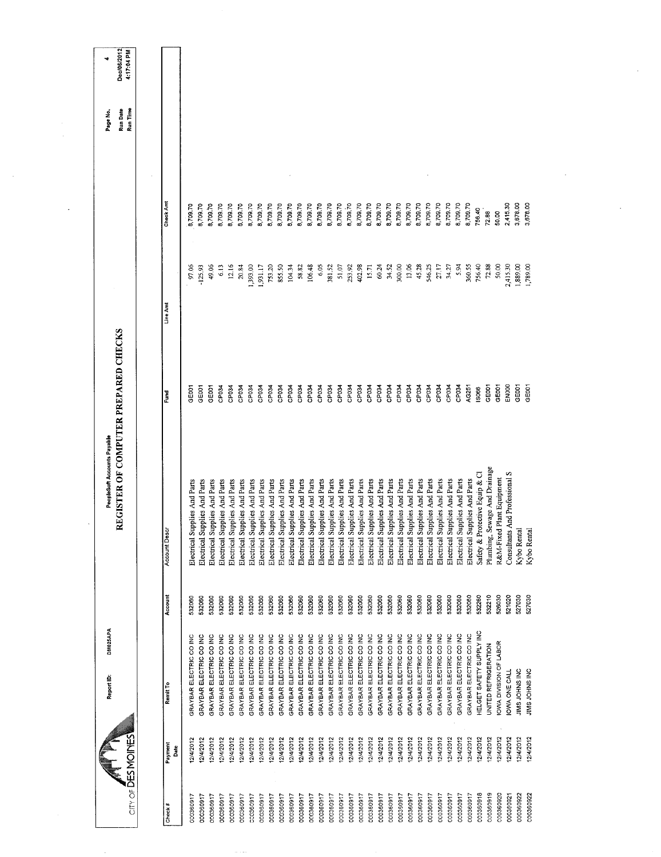| Dec/06/2012                          | 4:17:04 PM                |                      |                               |                               |                               |                               |                               |                               |                               |                               |                               |                               |                               |                               |                               |                               |                               |                               |                               |                               |                               |                               |                               |                               |                               |                               |                               |                               |                               |                               |                               |                                 |                                  |                           |                                |               |                |
|--------------------------------------|---------------------------|----------------------|-------------------------------|-------------------------------|-------------------------------|-------------------------------|-------------------------------|-------------------------------|-------------------------------|-------------------------------|-------------------------------|-------------------------------|-------------------------------|-------------------------------|-------------------------------|-------------------------------|-------------------------------|-------------------------------|-------------------------------|-------------------------------|-------------------------------|-------------------------------|-------------------------------|-------------------------------|-------------------------------|-------------------------------|-------------------------------|-------------------------------|-------------------------------|-------------------------------|-------------------------------|---------------------------------|----------------------------------|---------------------------|--------------------------------|---------------|----------------|
| Run Date<br>Page No.                 | Run Time                  |                      |                               |                               |                               |                               |                               |                               |                               |                               |                               |                               |                               |                               |                               |                               |                               |                               |                               |                               |                               |                               |                               |                               |                               |                               |                               |                               |                               |                               |                               |                                 |                                  |                           |                                |               |                |
|                                      |                           | Check Am             | 8,709.70                      | 8,709.70                      | 8,709.70                      | 8,709.70                      | 8,709.70                      | 8,709.70                      | 8,709.70                      | 8,709.70                      | 8,709.70                      | 8,709.70                      | 8,709.70                      | 8,709.70                      | 8,709.70                      | 8,709.70                      | 8,709.70                      | 3,709.70                      | 8,709.70                      | 8,709.70                      | 8,709.70                      | 8,709.70                      | 8,709.70                      | 8,709.70                      | 8,709.70                      | 3,709.70                      | 8,709.70                      | 5,70970                       | 8,709.70                      | 8,709.70                      | 8,709.70                      | 756.40                          | 72.88                            | 50.00                     | 2,415.30                       | 3,678.00      | 3,678.00       |
|                                      |                           | Line Amt             | 97.06                         | $-125.93$                     | 49.06                         | 6.13                          | 12.16                         | 20.84                         | 1,393.00                      | 1.931.17                      | 753.20                        | 855.50                        | 104.34                        | 58.82                         | 106.48                        | 6.05                          | 381.52                        | 51.07                         | 253.92                        | 402.98                        | 15.71                         | 60.24                         | 34.52                         | 300.00                        | 13.06                         | 45.28                         | 546.25                        | 27.17                         | 34.27                         | 5.94                          | 360.55                        | 756.40                          | 72.88                            | 50.00                     | 2,415.30                       | 1,889.00      | 1,789.00       |
| REGISTER OF COMPUTER PREPARED CHECKS |                           | Eund                 | CEOOT                         | GEOOT                         | GE001                         | CP034                         | CP034                         | CP034                         | CP034                         | CP034                         | CP034                         | CP034                         | CP034                         | CP034                         | CP034                         | CP034                         | CP034                         | CP034                         | CP034                         | CP034                         | CP034                         | CP034                         | CP034                         | CP034                         | CP <sub>034</sub>             | CP <sub>034</sub>             | CP034                         | CP <sub>034</sub>             | CP034                         | CP034                         | AG251                         | 15066                           | GEOOT                            | GE001                     | <b>BOON</b>                    | GE001         | GE001          |
| PeopleSoft Accounts Payable          |                           | <b>Account Descr</b> | Electrical Supplies And Parts | Electrical Supplies And Parts | Electrical Supplies And Parts | Electrical Supplies And Parts | Electrical Supplies And Parts | Electrical Supplies And Parts | Electrical Supplies And Parts | Electrical Supplies And Parts | Electrical Supplies And Parts | Electrical Supplies And Parts | Electrical Supplies And Parts | Electrical Supplies And Parts | Electrical Supplies And Parts | Electrical Supplies And Parts | Electrical Supplies And Parts | Electrical Supplies And Parts | Electrical Supplies And Parts | Electrical Supplies And Parts | Electrical Supplies And Parts | Electrical Supplies And Parts | Electrical Supplies And Parts | Electrical Supplies And Parts | Electrical Supplies And Parts | Electrical Supplies And Parts | Electrical Supplies And Parts | Electrical Supplies And Parts | Electrical Supplies And Parts | Electrical Supplies And Parts | Electrical Supplies And Parts | Safety & Protective Equip & Cl  | Sewage And Drainage<br>Plumbing, | R&M-Fixed Plant Equipment | Consultants And Professional S | Kybo Rental   | Kybo Rental    |
|                                      |                           | Account              | 532060                        | 532060                        | 532060                        | 532060                        | 532060                        | 532060                        | 532060                        | 532060                        | 532060                        | 532060                        | 532060                        | 532060                        | 532060                        | 532060                        | 532060                        | 532060                        | 532060                        | 532060                        | 532060                        | 532060                        | 532060                        | 532060                        | 532060                        | 532060                        | 532060                        | 532060                        | 532060                        | 532060                        | 532060                        | 532260                          | 532210                           | 526030                    | 521020                         | 527030        | 527030         |
| DM025APA<br>Report ID:               |                           | Remit To             | GRAYBAR ELECTRIC CO INC       | GRAYBAR ELECTRIC CO INC       | GRAYBAR ELECTRIC CO INC       | GRAYBAR ELECTRIC CO INC       | GRAYBAR ELECTRIC CO INC       | GRAYBAR ELECTRIC CO INC       | GRAYBAR ELECTRIC CO INC       | GRAYBAR ELECTRIC CO INC       | GRAYBAR ELECTRIC CO INC       | GRAYBAR ELECTRIC CO INC       | GRAYBAR ELECTRIC CO INC       | GRAYBAR ELECTRIC CO INC       | GRAYBAR ELECTRIC CO INC       | GRAYBAR ELECTRIC CO INC       | GRAYBAR ELECTRIC CO INC       | GRAYBAR ELECTRIC CO INC       | GRAYBAR ELECTRIC CO INC       | GRAYBAR ELECTRIC CO INC       | GRAYBAR ELECTRIC CO INC       | GRAYBAR ELECTRIC CO INC       | GRAYBAR ELECTRIC CO INC       | GRAYBAR ELECTRIC CO INC       | GRAYBAR ELECTRIC CO INC       | GRAYBAR ELECTRIC CO INC       | GRAYBAR ELECTRIC CO INC       | GRAYBAR ELECTRIC CO INC       | GRAYBAR ELECTRIC CO INC       | GRAYBAR ELECTRIC CO INC       | GRAYBAR ELECTRIC CO INC       | <b>HELGET SAFETY SUPPLY INC</b> | <b>JNITED REFRIGERATION</b>      | OWA DIVISION OF LABOR     | OWA ONE CALL                   | IMS JOHNS INC | JIMS JOHNS INC |
|                                      |                           | Payment<br>Date      | 2/4/2012                      | 2/4/2012                      | 12/4/2012                     | 12/4/2012                     | 2/4/2012                      | 12/4/2012                     | 2/4/2012                      | 2/4/2012                      | 12/4/2012                     | 12/4/2012                     | 12/4/2012                     | 12/4/2012                     | 12/4/2012                     | 2/4/2012                      | 12/4/2012                     | 12/4/2012                     | 12/4/2012                     | 12/4/2012                     | 12/4/2012                     | 12/4/2012                     | 12/4/2012                     | 12/4/2012                     | 12/4/2012                     | 12/4/2012                     | 2/4/2012                      | 12/4/2012                     | 12/4/2012                     | 2/4/2012                      | 12/4/2012                     | 12/4/2012                       | 2/4/2012                         | 12/4/2012                 | 12/4/2012                      | 12/4/2012     | 12/4/2012      |
|                                      | <b>CITY OF DES MOINES</b> | Check#               | 000360917                     | 000360917                     | 000360917                     | 000360917                     | 000360917                     | 000360917                     | 000360917                     | 000360917                     | 000360917                     | 000360917                     | 000360917                     | 000360917                     | 000360917                     | 000360917                     | 000360917                     | 000360917                     | 000360917                     | 000360917                     | 000360917                     | 000360917                     | 000360917                     | 000350917                     | 000360917                     | 000360917                     | 000360917                     | 000360917                     | 000360917                     | 000360917                     | 000360917                     | 000360918                       | 000360919                        | 000360920                 | 000360921                      | 000360922     | 000360922      |

 $\bar{z}$ 

 $\sim 10^{11}$  km s  $^{-1}$ 

 $\sim 10^{-1}$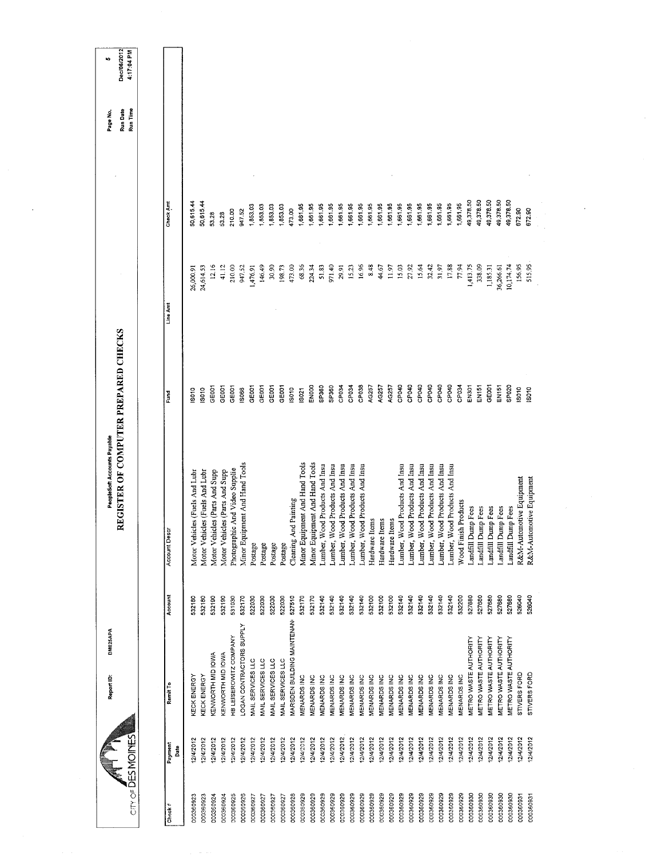| Dec/06/2012<br>4:17:04 PM<br>to,                                    |                    |                                |                                |                                |                                |                                |                                |                   |                   |                   |                   |                            |                                |                                |                                |                                |                                |                                |                                |                |                |                    |                                |                                |                                |                                |                                |                                |                      |                       |                       |                       |                       |                       |                          |                          |  |
|---------------------------------------------------------------------|--------------------|--------------------------------|--------------------------------|--------------------------------|--------------------------------|--------------------------------|--------------------------------|-------------------|-------------------|-------------------|-------------------|----------------------------|--------------------------------|--------------------------------|--------------------------------|--------------------------------|--------------------------------|--------------------------------|--------------------------------|----------------|----------------|--------------------|--------------------------------|--------------------------------|--------------------------------|--------------------------------|--------------------------------|--------------------------------|----------------------|-----------------------|-----------------------|-----------------------|-----------------------|-----------------------|--------------------------|--------------------------|--|
| Run Date<br>Run Time<br>Page No.                                    |                    |                                |                                |                                |                                |                                |                                |                   |                   |                   |                   |                            |                                |                                |                                |                                |                                |                                |                                |                |                |                    |                                |                                |                                |                                |                                |                                |                      |                       |                       |                       |                       |                       |                          |                          |  |
|                                                                     | Check Amt          | 50,615.44                      | 50,615.44                      | 53.28                          | 53.28                          | 210.00                         | 947.52                         | 1,853.03          | 1,853.03          | 1,853.03          | 1,853.03          | 4/3.00                     | 1,661.95                       | 1,661.95                       | 1,661.95                       | 1,661.95                       | 1,661.95                       | 1,661.95                       | 1,661.95                       | 1,661.95       | 1,661.95       | 1,661.95           | ,661.95                        | 1,661.95                       | 1,661.95                       | 1,661.95                       | 1,661.95                       | 1,661.95                       | 1,661,95             | 19,378.50             | 49,378.50             | 49,378.50             | 49,378.50             | 19,378.50             | 672.90                   | 672.90                   |  |
|                                                                     | Line Am            | 26,000.91                      | 24,614.53                      | 12.16                          | 41.12                          | 210.00                         | 947.52                         | 1,476.91          | 146.49            | 30.90             | 198.73            | 473.00                     | 68.36                          | 224.34                         | 51.83                          | 971.40                         | 29.91                          | 15.23                          | 16.96                          | 8.48           | 44.67          | 11.97              | 15.03                          | 27.92                          | 15.64                          | 32.42                          | 31.97                          | 17,88                          | 77.94                | 1,413.75              | 338.09                | 1,185.31              | 36,266.61             | 10,174.74             | 156.95                   | 515.95                   |  |
|                                                                     | Fund               | S010                           | <b>SO10</b>                    | GEOOT                          | <b>GEOOT</b>                   | GEOOT                          | IS066                          | <b>GEOO1</b>      | GE001             | GE001             | GEOOT             | IS010                      | IS021                          | ENDOO                          | SP360                          | SP360                          | CP034                          | CP034                          | CP038                          | AG257          | AG257          | AG257              | CP040                          | CP040                          | CP040                          | CP040                          | CP040                          | CP040                          | CP034                | EN301                 | EN151                 | GE001                 | <b>EN151</b>          | SP020                 | IS010                    | SO <sub>10</sub>         |  |
| REGISTER OF COMPUTER PREPARED CHECKS<br>PeopleSoft Accounts Payable | Account Desc       | Motor Vehicles (Fuels And Lubr | Motor Vehicles (Fuels And Lubr | Motor Vehicles (Parts And Supp | Motor Vehicles (Parts And Supp | Photographic And Video Supplie | Minor Equipment And Hand Tools | Postage           | Postage           | Postage           | Postage           | Cleaning And Painting      | Minor Equipment And Hand Tools | Minor Equipment And Hand Tools | Lumber, Wood Products And Insu | Lumber, Wood Products And Insu | Lumber, Wood Products And Insu | Lumber, Wood Products And Insu | Lumber, Wood Products And Insu | Hardware Items | Hardware Items | Hardware Items     | Lumber, Wood Products And Insu | Lumber, Wood Products And Insu | Lumber, Wood Products And Insu | Lumber, Wood Products And Insu | Lumber, Wood Products And Insu | Lumber, Wood Products And Insu | Wood Finish Products | Landfill Dump Fees    | Landfill Dump Fees    | Landfill Dump Fees    | Landfill Dump Fees    | Landfill Dump Fees    | R&M-Automotive Equipment | R&M-Automotive Equipment |  |
|                                                                     | Account            | 532180                         | 532180                         | 532190                         | 532190                         | 531030                         | 532170                         | 522030            | 522030            | 522030            | 522030            | 527510                     | 532170                         | 532170                         | 532140                         | 532140                         | 532140                         | 532140                         | 532140                         | 532100         | 532100         | 532100             | 532140                         | 532140                         | 532140                         | 532140                         | 532140                         | 532140                         | 532200               | 527680                | 527680                | 527680                | 527680                | 527680                | 526040                   | 526040                   |  |
| DM025APA<br>Report ID:                                              | Remit To           | KECK ENERGY                    | KECK ENERGY                    | KENWORTH MID IOWA              | KENWORTH MID IOWA              | HB LEISEROWITZ COMPANY         | LOGAN CONTRACTORS SUPPLY       | MAIL SERVICES LLC | MAIL SERVICES LLC | MAIL SERVICES LLC | MAIL SERVICES LLC | MARSDEN BUILDING MAINTENAN | MENARDS INC                    | <b>MENARDS INC</b>             | MENARDS INC                    | MENARDS INC                    | MENARDS INC                    | MENARDS INC                    | MENARDS INC                    | MENARDS INC    | MENARDS INC    | <b>MENARDS INC</b> | MENARDS INC                    | MENARDS INC                    | <b>VIENARDS INC</b>            | MENARDS INC                    | MENARDS INC                    | MENARDS INC                    | MENARDS INC          | METRO WASTE AUTHORITY | METRO WASTE AUTHORITY | METRO WASTE AUTHORITY | METRO WASTE AUTHORITY | METRO WASTE AUTHORITY | STIVERS FORD             | STIVERS FORD             |  |
|                                                                     | Payment<br>Date    | 12/4/2012                      | 12/4/2012                      | 12/4/2012                      | 12/4/2012                      | 12/4/2012                      | 12/4/2012                      | 12/4/2012         | 12/4/2012         | 12/4/2012         | 2/4/2012          | 12/4/2012                  | 12/4/2012                      | 12/4/2012                      | 12/4/2012                      | 12/4/2012                      | 12/4/2012                      | 12/4/2012                      | 12/4/2012                      | 12/4/2012      | 12/4/2012      | 2/4/2012           | 12/4/2012                      | 12/4/2012                      | 2/4/2012                       | 12/4/2012                      | 12/4/2012                      | 2/4/2012                       | 12/4/2012            | 12/4/2012             | 12/4/2012             | 12/4/2012             | 12/4/2012             | 12/4/2012             | 2/4/2012                 | 12/4/2012                |  |
| $CITY OF \overline{D}ES MOINES$                                     | Check <sup>#</sup> | 000360923                      | 000360923                      | 000360924                      | 000360924                      | 000360925                      | 000360926                      | 000360927         | 000360927         | 000360927         | 000360927         | 000360928                  | 000360929                      | 000360929                      | 000360929                      | 000360929                      | 000360929                      | 000360929                      | 000360929                      | 000360929      | 000360929      | 000360929          | 000360929                      | 000360929                      | 000360929                      | 000360929                      | 000360929                      | 000360929                      | 000360929            | 000360930             | 000360930             | 000360930             | 000360930             | 000360930             | 000360931                | 000360931                |  |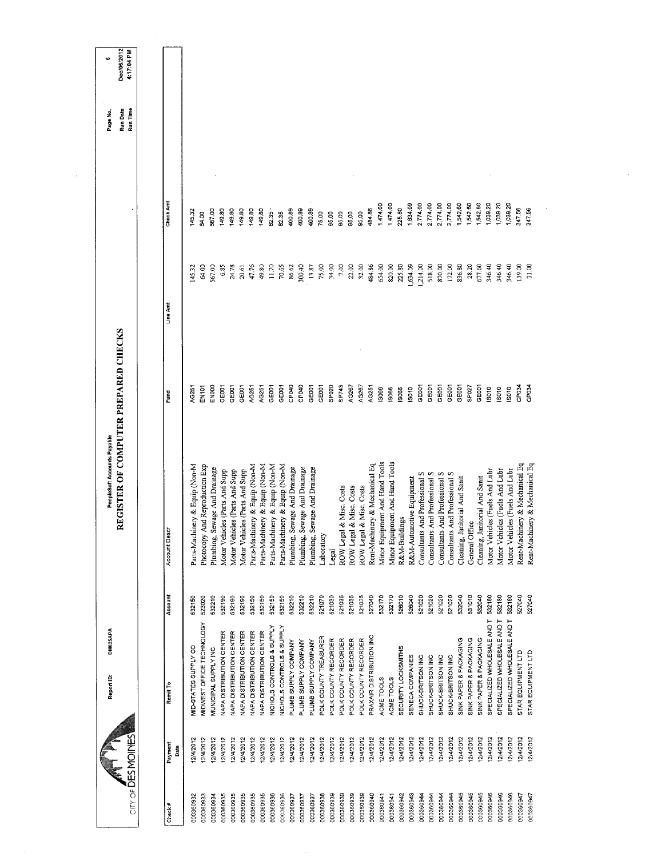| $\text{Conv}$ of $\overline{\text{DES}}$ MOINES |                 | <b>DM025APA</b><br>Report ID:        |         | REGISTER OF COMPUTER PREPARED CHECKS<br>PeopleSoft Accounts Payable |                   |          |          | Run Date<br>Run Time<br>Page No. | Dec/06/2012<br>4:17:04 PM<br>40 |
|-------------------------------------------------|-----------------|--------------------------------------|---------|---------------------------------------------------------------------|-------------------|----------|----------|----------------------------------|---------------------------------|
|                                                 |                 |                                      |         |                                                                     |                   |          |          |                                  |                                 |
| Check#                                          | Payment<br>Date | Remit To                             | Account | ៦<br>Account De                                                     | Fund              | Line Am  | Check Am |                                  |                                 |
| 000360932                                       | 2/4/2012        | MID-STATES SUPPLY CO                 | 532150  | Parts-Machinery & Equip (Non-M                                      | AG251             | 45.32    | 145.32   |                                  |                                 |
| 000360933                                       | 2/4/2012        | MIDWEST OFFICE TECHNOLOGY            | 523020  | And Reproduction Exp<br>Photocopy                                   | EN101             | 64.00    | 64.00    |                                  |                                 |
| 000360934                                       | 2/4/2012        | MUNICIPAL SUPPLY INC                 | 532210  | Sewage And Drainage<br>Plumbing,                                    | ENOOO             | 567.00   | 567.00   |                                  |                                 |
| 000360935                                       | 2/4/2012        | NAPA DISTRIBUTION CENTER             | 532190  | Motor Vehicles (Parts And Supp                                      | GE001             | 6.85     | 149.80   |                                  |                                 |
| 000360935                                       | 12/4/2012       | <b>VAPA DISTRIBUTION CENTER</b>      | 532190  | Motor Vehicles (Parts And Supp                                      | GE001             | 24.78    | 149.80   |                                  |                                 |
| 000360935                                       | 2/4/2012        | <b>NAPA DISTRIBUTION CENTER</b>      | 532190  | Motor Vehicles (Parts And Supp                                      | GE001             | 20.61    | 149.80   |                                  |                                 |
| 000360935                                       | 2/4/2012        | <b>NAPA DISTRIBUTION CENTER</b>      | 532150  | Parts-Machinery & Equip (Non-M                                      | AG251             | 4776     | 149.80   |                                  |                                 |
| 000360935                                       | 12/4/2012       | VAPA DISTRIBUTION CENTER             | 532150  | Parts-Machinery & Equip (Non-M                                      | AG251             | 49.80    | 149.80   |                                  |                                 |
| 000360936                                       | 2/4/2012        | NICHOLS CONTROLS & SUPPLY            | 532150  | Parts-Machinery & Equip (Non-M                                      | GE001             | 11.70    | 32.35    |                                  |                                 |
| 000360936                                       | 2/4/2012        | <b>VICHOLS CONTROLS &amp; SUPPLY</b> | 532150  | Parts-Machinery & Equip (Non-M                                      | GE001             | 70.65    | 82.35    |                                  |                                 |
| 000360937                                       | 2/4/2012        | PLUMB SUPPLY COMPANY                 | 532210  | Sewage And Drainage<br>Plumbing,                                    | CP040             | 86.62    | 400.89   |                                  |                                 |
| 000360937                                       | 2/4/2012        | PLUMB SUPPLY COMPANY                 | 532210  | Sewage And Drainage<br>Plumbing, I                                  | CP040             | 300.40   | 400.89   |                                  |                                 |
| 000360937                                       | 2/4/2012        | PLUMB SUPPLY COMPANY                 | 532210  | Sewage And Drainage<br>Plumbing,                                    | GE001             | 13.87    | 400.89   |                                  |                                 |
| 000360938                                       | 2/4/2012        | POLK COUNTY TREASURER                | 521070  | Laboratory                                                          | GE001             | 75.00    | 75.00    |                                  |                                 |
| 000360939                                       | 12/4/2012       | POLK COUNTY RECORDER                 | 521030  | Legal                                                               | SP <sub>020</sub> | 34,00    | 95.00    |                                  |                                 |
| 000360939                                       | 12/4/2012       | POLK COUNTY RECORDER                 | 521035  | ROW Legal & Misc. Costs                                             | SP743             | 7.00     | 95,00    |                                  |                                 |
| 000360939                                       | 12/4/2012       | POLK COUNTY RECORDER                 | 521035  | ROW Legal & Misc. Costs                                             | AG267             | 22.00    | 95,00    |                                  |                                 |
| 000350939                                       | 2/4/2012        | POLK COUNTY RECORDER                 | 521035  | ROW Legal & Misc. Costs                                             | AG267             | 32.00    | 95,00    |                                  |                                 |
| 000360940                                       | 12/4/2012       | PRAXAIR DISTRIBUTION INC             | 527040  | Rent-Machinery & Mechanical Eq                                      | AG251             | 484.86   | 484 86   |                                  |                                 |
| 000360941                                       | 12/4/2012       | ACME TOOLS                           | 532170  | Minor Equipment And Hand Tools                                      | 13066             | 654.00   | 1,474.00 |                                  |                                 |
| 000360941                                       | 2/4/2012        | ACME TOOLS                           | 532170  | Minor Equipment And Hand Tools                                      | 13066             | 820.00   | 1,474.00 |                                  |                                 |
| 000360942                                       | 12/4/2012       | SECURITY LOCKSMITHS                  | 526010  | R&M-Buildings                                                       | IS066             | 225.80   | 225.80   |                                  |                                 |
| 000360943                                       | 12/4/2012       | SENECA COMPANIES                     | 526040  | R&M-Automotive Equipment                                            | <b>ISO10</b>      | 1,634.09 | 1,634.09 |                                  |                                 |
| 000360944                                       | 2/4/2012        | SHUCK-BRITSON INC                    | 521020  | Consultants And Professional S                                      | GE <sub>001</sub> | 1,214.00 | 2,774.00 |                                  |                                 |
| 000360944                                       | 2/4/2012        | SHUCK-BRITSON INC                    | 521020  | Consultants And Professional S                                      | GE001             | 518.00   | 2,774.00 |                                  |                                 |
| 000360944                                       | 2/4/2012        | SHUCK-BRITSON INC                    | 521020  | Consultants And Professional S                                      | GE001             | 870.00   | 2,774.00 |                                  |                                 |
| 000360944                                       | 12/4/2012       | SHUCK-BRITSON INC                    | 521020  | Consultants And Professional S                                      | GEOOT             | 172.00   | 2,774.00 |                                  |                                 |
| 000360945                                       | 12/4/2012       | SINK PAPER & PACKAGING               | 532040  | Janitorial And Sanit<br>Cleaning,                                   | GE001             | 836.80   | 1,542.60 |                                  |                                 |
| 000360945                                       | 12/4/2012       | SINK PAPER & PACKAGING               | 531010  | General Office                                                      | SP027             | 28.20    | 1,542.60 |                                  |                                 |
| 000360945                                       | 12/4/2012       | SINK PAPER & PACKAGING               | 532040  | Cleaning, Janitorial And Sanit                                      | GE001             | 677.60   | 1,542.60 |                                  |                                 |
| 000360946                                       | 12/4/2012       | SPECIALIZED WHOLESALE AND T          | 532180  | Motor Vehicles (Fuels And Lubr                                      | IS010             | 346.40   | 1,039.20 |                                  |                                 |
| 000360946                                       | 2/4/2012        | SPECIALIZED WHOLESALE AND T          | 532180  | Motor Vehicles (Fuels And Lubr                                      | <b>SO10</b>       | 346.40   | 1,039.20 |                                  |                                 |
| 000360946                                       | 12/4/2012       | SPECIALIZED WHOLESALE AND T          | 532180  | Motor Vehicles (Fuels And Lubr                                      | $\frac{8}{2}$     | 346.40   | 1,039.20 |                                  |                                 |
| 000360947                                       | 2/4/2012        | STAR EQUIPMENT LTD                   | 527040  | Rent-Machinery & Mechanical Eq                                      | CP034             | 139.00   | 347.56   |                                  |                                 |
| 000360947                                       | 2/4/2012        | STAR EQUIPMENT LTD                   | 527040  | Rent-Machinery & Mechanical Eq                                      | CP <sub>03</sub>  | 31.00    | 347.56   |                                  |                                 |
|                                                 |                 |                                      |         |                                                                     |                   |          |          |                                  |                                 |

 $\sim$   $\sim$ 

 $\hat{\mathcal{L}}$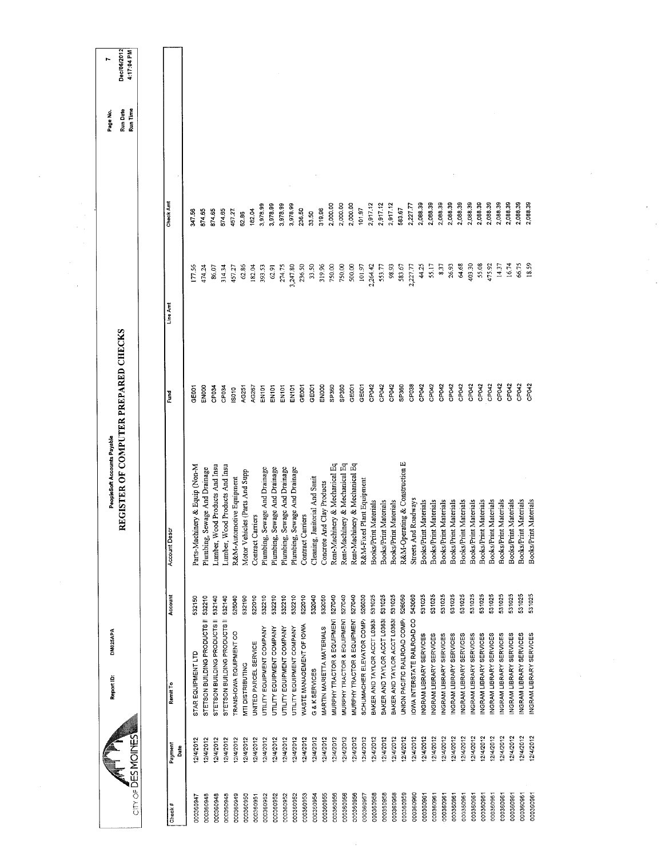| CITY OF DES MOMOINES      | DM025APA<br>Report ID:              |         | REGISTER OF COMPUTER PREPARED CHECKS<br>PeopleSoft Accounts Payable |                    |          |          | Run Time<br>Run Date<br>Page No | Dec/06/2012<br>4:17:04 PM |
|---------------------------|-------------------------------------|---------|---------------------------------------------------------------------|--------------------|----------|----------|---------------------------------|---------------------------|
|                           |                                     |         |                                                                     |                    |          |          |                                 |                           |
| Payment<br>Date<br>Check# | Remit To                            | Account | Account Descr                                                       | Fund               | Line Amt | Check Am |                                 |                           |
| 12/4/2012<br>000360947    | STAR EQUIPMENT LTD                  | 532150  | Parts-Machinery & Equip (Non-M                                      | <b>LOO3E</b>       | 177.56   | 347.56   |                                 |                           |
| 12/4/2012<br>000360948    | STETSON BUILDING PRODUCTS II 532210 |         | Sewage And Drainage<br>Plumbing,                                    | <b>ENOOO</b>       | 474.24   | 874.65   |                                 |                           |
| 2/4/2012<br>000360948     | STETSON BUILDING PRODUCTS II        | 532140  | Lumber, Wood Products And Insu                                      | CP034              | 86.07    | 874.65   |                                 |                           |
| 12/4/2012<br>000360948    | STETSON BUILDING PRODUCTS II 532140 |         | Lumber, Wood Products And Insu                                      | CP <sub>034</sub>  | 314.34   | 874.65   |                                 |                           |
| 12/4/2012<br>000360949    | TRANS-IOWA EQUIPMENT CO             | 526040  | R&M-Automotive Equipment                                            | S010               | 457.27   | 457.27.  |                                 |                           |
| 2/4/2012<br>000360950     | <b>VITI DISTRIBUTING</b>            | 532190  | Motor Vehicles (Parts And Supp                                      | AG251              | 62.86    | 62.86    |                                 |                           |
| 12/4/2012<br>00036095     | UNITED PARCEL SERVICE               | 522010  | Contract Carriers                                                   | AG267              | 182.04   | 182.04   |                                 |                           |
| 12/4/2012<br>000360952    | UTILITY EQUIPMENT COMPANY           | 532210  | Sewage And Drainage<br>Plumbing,                                    | EN <sub>1</sub> 01 | 393.53   | 3,978.99 |                                 |                           |
| 2/4/2012<br>000360952     | UTILITY EQUIPMENT COMPANY           | 532210  | Sewage And Drainage<br>Plumbing,                                    | <b>EN101</b>       | 62.91    | 3,978.99 |                                 |                           |
| 12/4/2012<br>000360952    | UTILITY EQUIPMENT COMPANY           | 532210  | Sewage And Drainage<br>Plumbing,                                    | EN101              | 274.75   | 3,978.99 |                                 |                           |
| 12/4/2012<br>000360952    | <b>JTILITY EQUIPMENT COMPANY</b>    | 532210  | Sewage And Drainage<br>Plumbing,                                    | <b>EN101</b>       | 3,247.80 | 3,978.99 |                                 |                           |
| 12/4/2012<br>000360953    | WASTE MANAGEMENT OF IOWA            | 522010  | Contract Carriers                                                   | <b>GE001</b>       | 236.50   | 236.50   |                                 |                           |
| 12/4/2012<br>000360954    | G & K SERVICES                      | 532040  | anitorial And Sanit<br>Cleaning, J                                  | GE001              | 33.50    | 33.50    |                                 |                           |
| 12/4/2012<br>000360955    | MARTIN MARIETTA MATERIALS           | 532050  | Concrete And Clay Products                                          | EN000              | 319.96   | 319,96   |                                 |                           |
| 12/4/2012<br>000360956    | MURPHY TRACTOR & EQUIPMENT          | 527040  | Rent-Machinery & Mechanical Eq                                      | SP360              | 750.00   | 2,000.00 |                                 |                           |
| 12/4/2012<br>000360956    | MURPHY TRACTOR & EQUIPMENT          | 527040  | Rent-Machinery & Mechanical Eq                                      | SP360              | 750.00   | 2,000.00 |                                 |                           |
| 12/4/2012<br>000360956    | MURPHY TRACTOR & EQUIPMENT          | 527040  | Rent-Machinery & Mechanical Eq                                      | GE001              | 500.00   | 2,000.00 |                                 |                           |
| 12/4/2012<br>000360957    | SCHUMACHER ELEVATOR COMP/           | 526030  | R&M-Fixed Plant Equipment                                           | GE001              | 101.97   | 101.97   |                                 |                           |
| 12/4/2012<br>000360958    | BAKER AND TAYLOR ACCT L0363         | 531025  | Books/Print Materials                                               | CP <sub>042</sub>  | 2,264.42 | 2,917.12 |                                 |                           |
| 12/4/2012<br>000350958    | BAKER AND TAYLOR ACCT L03638        | 531025  | Books/Print Materials                                               | CP042              | 553.77   | 2,917.12 |                                 |                           |
| 12/4/2012<br>000360958    | BAKER AND TAYLOR ACCT L03631        | 531025  | Books/Print Materials                                               | CP042              | 98.93    | 2,917.12 |                                 |                           |
| 12/4/2012<br>000360959    | UNION PACIFIC RAILROAD COMP/        | 526050  | R&M-Operating & Construction E                                      | SP360              | 583.67   | 583.67   |                                 |                           |
| 2/4/2012<br>000360960     | OWA INTERSTATE RAILROAD CO          | 543060  | Streets And Roadways                                                | CP038              | 2,227.77 | 2,227.77 |                                 |                           |
| 12/4/2012<br>000360961    | NGRAM LIBRARY SERVICES              | 531025  | Books/Print Materials                                               | CP042              | 44.25    | 2,088.39 |                                 |                           |
| 2/4/2012<br>000360961     | NGRAM LIBRARY SERVICES              | 531025  | <b>Books/Print Materials</b>                                        | CP042              | 55.17    | 2,088.39 |                                 |                           |
| 12/4/2012<br>000360961    | NGRAM LIBRARY SERVICES              | 531025  | Books/Print Materials                                               | CP042              | 8.37     | 2,088.39 |                                 |                           |
| 2/4/2012<br>000360961     | NGRAM LIBRARY SERVICES              | 531025  | Books/Print Materials                                               | CP042              | 26.93    | 2,088.39 |                                 |                           |
| 2/4/2012<br>000360961     | INGRAM LIBRARY SERVICES             | 531025  | Books/Print Materials                                               | CP042              | 64.68    | 2,088.39 |                                 |                           |
| 2/4/2012<br>000360961     | NGRAM LIBRARY SERVICES              | 531025  | Books/Print Materials                                               | CP042              | 403.30   | 2,088.39 |                                 |                           |
| 12/4/2012<br>000360961    | NGRAM LIBRARY SERVICES              | 531025  | Books/Print Materials                                               | CP042              | 55.08    | 2,088.39 |                                 |                           |
| 12/4/2012<br>000360961    | INGRAM LIBRARY SERVICES             | 531025  | Books/Print Materials                                               | CP <sub>042</sub>  | 475.92   | 2,088.39 |                                 |                           |
| 2/4/2012<br>000360961     | NGRAM LIBRARY SERVICES              | 531025  | Books/Print Materials                                               | CP042              | 14.37    | 2,088.39 |                                 |                           |
| 12/4/2012<br>00036096     | NGRAM LIBRARY SERVICES              | 531025  | Books/Print Materials                                               | CP <sub>042</sub>  | 16.74    | 2,088.39 |                                 |                           |
| 2/4/2012<br>000360961     | NGRAM LIBRARY SERVICES              | 531025  | Books/Print Materials                                               | CP042              | 66.75    | 2,088.39 |                                 |                           |
| 12/4/2012<br>000360961    | INGRAM LIBRARY SERVICES             | 531025  | <b>1t</b> Materials<br><b>Books/Prin</b>                            | CP042              | 18.59    | 2,088.39 |                                 |                           |
|                           |                                     |         |                                                                     |                    |          |          |                                 |                           |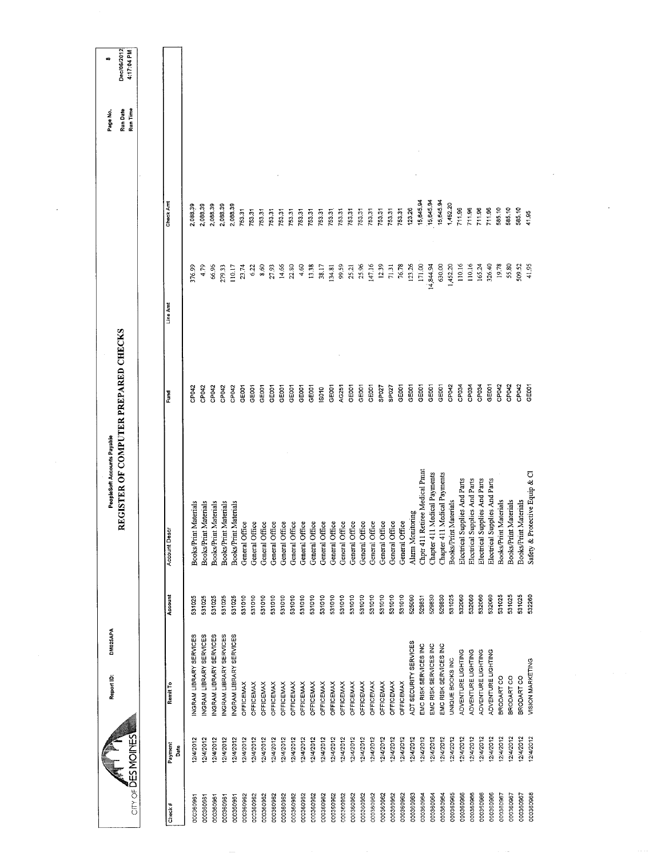| $CITY$ of $\overline{D}ES$ MOINES | DM025APA<br>Report ID:  |         | REGISTER OF COMPUTER PREPARED CHECKS<br>PeopleSoft Accounts Payable |                   |           |           | Run Time<br>Run Date<br>Page No. | Dec/06/2012<br>4:17:04 PM<br>œ |
|-----------------------------------|-------------------------|---------|---------------------------------------------------------------------|-------------------|-----------|-----------|----------------------------------|--------------------------------|
|                                   |                         |         |                                                                     |                   |           |           |                                  |                                |
| Payment<br>Date<br>Check#         | Remit To                | Account | <b>Account Descr</b>                                                | Fund              | Line Am   | Check Amt |                                  |                                |
| 2/4/2012<br>00036096              | NGRAM LIBRARY SERVICES  | 531025  | Materials<br>Books/Print                                            | CP042             | 376.99    | 2,088.39  |                                  |                                |
| 12/4/2012<br>000360961            | NGRAM LIBRARY SERVICES  | 531025  | Materials<br><b>Books/Print</b>                                     | CP042             | 4.79      | 2,088.39  |                                  |                                |
| 12/4/2012<br>000360961            | INGRAM LIBRARY SERVICES | 531025  | Materials<br><b>Books/Print</b>                                     | CP042             | 66.96     | 2,088.39  |                                  |                                |
| 12/4/2012<br>000360961            | INGRAM LIBRARY SERVICES | 531025  | Materials<br><b>Books/Print</b>                                     | CP042             | 279.33    | 2,088.39  |                                  |                                |
| 12/4/2012<br>000360961            | INGRAM LIBRARY SERVICES | 531025  | Materials<br><b>Books/Print</b>                                     | CP042             | 110.17    | 2,088.39  |                                  |                                |
| 12/4/2012<br>000360962            | OFFICEMAX               | 531010  | General Office                                                      | GEODT             | 23.74     | 753.31    |                                  |                                |
| 12/4/2012<br>000360962            | OFFICEMAX               | 531010  | General Office                                                      | GE001             | 6.22      | 753.31    |                                  |                                |
| 12/4/2012<br>000360962            | OFFICEMAX               | 531010  | 8<br>General Offi                                                   | GEOOT             | 8.60      | 753.31    |                                  |                                |
| 12/4/2012<br>000360962            | OFFICEMAX               | 531010  | General Office                                                      | GE001             | 27.93     | 753.31    |                                  |                                |
| 12/4/2012<br>000360962            | OFFICEMAX               | 531010  | General Office                                                      | GE <sub>001</sub> | 14.66     | 753.31    |                                  |                                |
| 12/4/2012<br>000360962            | <b>OFFICEMAX</b>        | 531010  | General Office                                                      | GE <sub>001</sub> | 22.80     | 753.31    |                                  |                                |
| 12/4/2012<br>000360962            | <b>OFFICEMAX</b>        | 531010  | General Office                                                      | GE001             | 4.60      | 753.31    |                                  |                                |
| 12/4/2012<br>000360962            | <b>OFFICEMAX</b>        | 531010  | General Office                                                      | GE001             | 13.38     | 753.31    |                                  |                                |
| 12/4/2012<br>000360962            | <b>OFFICEMAX</b>        | 531010  | ಕಿ<br>General Offi                                                  | IS010             | 38.17     | 753.31    |                                  |                                |
| 12/4/2012<br>000360962            | OFFICEMAX               | 531010  | General Office                                                      | GE001             | 134.81    | 753.31    |                                  |                                |
| 12/4/2012<br>000360962            | OFFICEMAX               | 531010  | General Office                                                      | AG251             | 99.59     | 753.31    |                                  |                                |
| 12/4/2012<br>000360962            | <b>OFFICEMAX</b>        | 531010  | General Office                                                      | GE001             | 25.21     | 753.31    |                                  |                                |
| 12/4/2012<br>000360962            | <b>OFFICEMAX</b>        | 531010  | General Office                                                      | GE <sub>001</sub> | 25.96     | 753.31    |                                  |                                |
| 2/4/2012<br>000360962             | OFFICEMAX               | 531010  | General Office                                                      | GE001             | 147.16    | 753.31    |                                  |                                |
| 12/4/2012<br>000360962            | <b>OFFICEMAX</b>        | 531010  | General Office                                                      | SP027             | 12.39     | 753.31    |                                  |                                |
| 12/4/2012<br>000360962            | OFFICEMAX               | 531010  | General Office                                                      | SP <sub>027</sub> | 71.31     | 753.31    |                                  |                                |
| 2/4/2012<br>000360962             | <b>OFFICEMAX</b>        | 531010  | General Office                                                      | GE001             | 76.78     | 753.31    |                                  |                                |
| 12/4/2012<br>000360963            | ADT SECURITY SERVICES   | 525090  | Alarm Monitoring                                                    | GEOOT             | 123.26    | 123.26    |                                  |                                |
| 12/4/2012<br>000360964            | EMC RISK SERVICES INC   | 529831  | Chpt 411 Retiree Medical Pmnt                                       | GE001             | 171.00    | 15,645.94 |                                  |                                |
| 12/4/2012<br>000360964            | EMC RISK SERVICES INC   | 529830  | Medical Payments<br>Chapter 411                                     | GE001             | 14,844.94 | 15,645.94 |                                  |                                |
| 12/4/2012<br>000360964            | EMC RISK SERVICES INC   | 529830  | Medical Payments<br>Chapter 411                                     | GE001             | 630.00    | 15,645.94 |                                  |                                |
| 12/4/2012<br>000360965            | UNIQUE BOOKS INC        | 531025  | Books/Print Materials                                               | CP042             | 1,452.20  | 1,452.20  |                                  |                                |
| 12/4/2012<br>000360966            | ADVENTURE LIGHTING      | 532060  | Electrical Supplies And Parts                                       | CP034             | 110.16    | 711.96    |                                  |                                |
| 12/4/2012<br>000360966            | ADVENTURE LIGHTING      | 532060  | Electrical Supplies And Parts                                       | CP034             | 110.16    | 711.96    |                                  |                                |
| 12/4/2012<br>000350966            | ADVENTURE LIGHTING      | 532060  | Electrical Supplies And Parts                                       | CP034             | 165.24    | 711.96    |                                  |                                |
| 12/4/2012<br>000360966            | ADVENTURE LIGHTING      | 532060  | Electrical Supplies And Parts                                       | GEOOT             | 326.40    | 711.96    |                                  |                                |
| 12/4/2012<br>000360967            | BRODART CO              | 531025  | Books/Print Materials                                               | CP042             | 19.78     | 585.10    |                                  |                                |
| 2/4/2012<br>000360967             | BRODART CO              | 531025  | Books/Print Materials                                               | CP042             | 55.80     | 585.10    |                                  |                                |
| 12/4/2012<br>000360967            | BRODART CO              | 531025  | Books/Print Materials                                               | CP042             | 509.52    | 585.10    |                                  |                                |
| 12/4/2012<br>000360968            | VISION MARKETING        | 532260  | Safety & Protective Equip & Cl                                      | <b>GEOOT</b>      | 41.95     | 41.95     |                                  |                                |
|                                   |                         |         |                                                                     |                   |           |           |                                  |                                |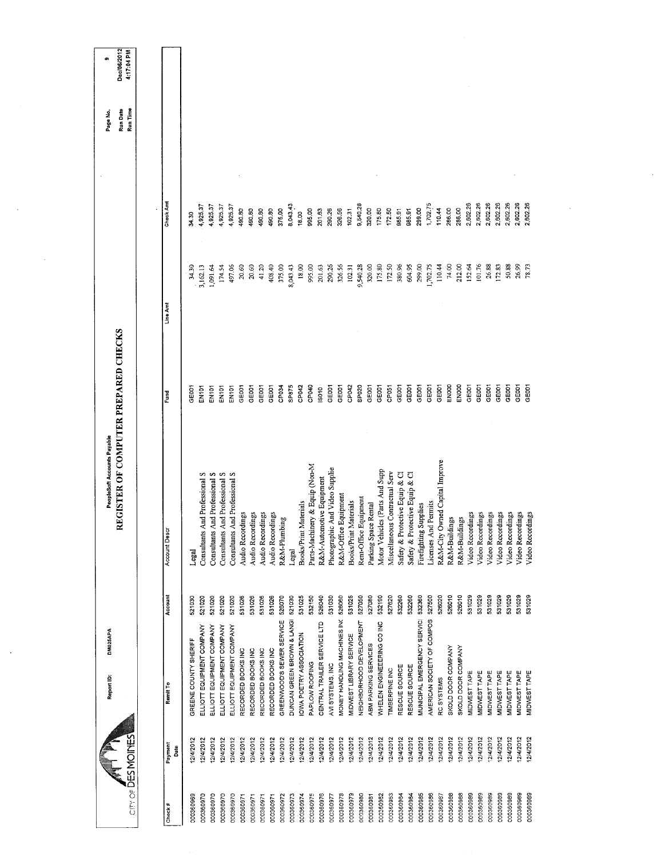| CITY OF DES MOINES     |                        | DM025APA<br>Report ID:                                 |                  | REGISTER OF COMPUTER PREPARED CHECKS<br>PeopleSoft Accounts Payable |                            |                      | $\cdot$              | Run Time<br>Run Date<br>Page No. | Dec/06/2012<br>4:17:04 PM<br>¢ |
|------------------------|------------------------|--------------------------------------------------------|------------------|---------------------------------------------------------------------|----------------------------|----------------------|----------------------|----------------------------------|--------------------------------|
|                        |                        |                                                        |                  | Account Descr                                                       | Fund                       | Line Amt             | Check Amt            |                                  |                                |
| Check#                 | Payment<br>å           | Remit To                                               | Account          |                                                                     |                            |                      |                      |                                  |                                |
| 000360969              | 12/4/2012              | GREENE COUNTY SHERIFF                                  | 521030           | Legal                                                               | GE001                      | 34.30                | 34.30                |                                  |                                |
| 000360970              | 12/4/2012              | ELLIOTT EQUIPMENT COMPANY                              | 521020<br>521020 | Consultants And Professional S                                      | EN101<br>EN101             | 1,091.64<br>3,162.13 | 4,925.37<br>4,925.37 |                                  |                                |
| 000360970<br>000360970 | 12/4/2012<br>12/4/2012 | ELLIOTT EQUIPMENT COMPANY<br>ELLIOTT EQUIPMENT COMPANY | 521020           | Consultants And Professional S<br>Consultants And Professional S    | EN101                      | 174.54               | 4,925.37             |                                  |                                |
| 000360970              | 12/4/2012              | ELLIOTT EQUIPMENT COMPANY                              | 521020           | Consultants And Professional S                                      | EN101                      | 497.06               | 4,925.37             |                                  |                                |
| 000360971              | 12/4/2012              | RECORDED BOOKS INC                                     | 531026           | Audio Recordings                                                    | GE001                      | 20.60                | 490.80               |                                  |                                |
| 000360971              | 12/4/2012              | RECORDED BOOKS INC                                     | 531026           | Audio Recordings                                                    | GEOOT                      | 20.60                | 490.80               |                                  |                                |
| 000360971              | 12/4/2012              | RECORDED BOOKS INC                                     | 531026           | Audio Recordings                                                    | GE001<br>GE001             | 408.40<br>41.20      | 490.80<br>490.80     |                                  |                                |
| 000360972<br>000360971 | 12/4/2012<br>12/4/2012 | GREENWOOD'S SEWER SERVICE<br>RECORDED BOOKS INC        | 526070<br>531026 | Audio Recordings<br>R&M-Plumbing                                    | CP034                      | 375.00               | 375,00               |                                  |                                |
| 000360973              | 12/4/2012              | DUNCAN GREEN BROWN & LANGI                             | 521030           | Legal                                                               | SP875                      | 8,043.43             | 8,043.43             |                                  |                                |
| 000360974              | 12/4/2012              | IOWA POETRY ASSOCIATION                                | 531025           | Books/Print Materials                                               | CP042                      | 18.00                | 18.00                |                                  |                                |
| 000360975              | 12/4/2012              | PAPLOW ROOFING                                         | 532150           | Parts-Machinery & Equip (Non-M                                      | CP040                      | 995.00               | 995.00               |                                  |                                |
| 000360976              | 12/4/2012              | CENTRAL TRAILER SERVICE LTD                            | 526040           | R&M-Automotive Equipment                                            | IS010                      | 201.63               | 201.63               |                                  |                                |
| 000360977              | 12/4/2012              | AVI SYSTEMS, INC                                       | 531030           | Photographic And Video Supplie                                      | GEOOT                      | 290.26               | 290.26               |                                  |                                |
| 000360978              | 12/4/2012              | MONEY HANDLING MACHINES INC                            | 526060           | R&M-Office Equipment                                                | CP042<br>GE001             | 326.56<br>102.31     | 326.56<br>102.31     |                                  |                                |
| 000360979              | 12/4/2012<br>12/4/2012 | NEIGHBORHOOD DEVELOPMENT<br>MIDWEST LIBRARY SERVICE    | 531025<br>527050 | <b>Books/Print Materials</b>                                        | SPO <sub>20</sub>          | 9,540.28             | 9,540.28             |                                  |                                |
| 000360980<br>000360981 | 12/4/2012              | ABM PARKING SERVICES                                   | 527080           | Rent-Office Equipment<br>Parking Space Rental                       | GE001                      | 320.00               | 320.00               |                                  |                                |
| 000360982              | 12/4/2012              | WHELEN ENGINEEERING CO INC                             | 532190           | Motor Vehicles (Parts And Supp                                      | GE001                      | 175.80               | 175.80               |                                  |                                |
| 000360983              | 12/4/2012              | TIMBERPINE INC                                         | 527620           | Miscellaneous Contractual Serv                                      | CP051                      | 172.50               | 172.50               |                                  |                                |
| 000360984              | 12/4/2012              | RESCUE SOURCE                                          | 532260           | Safety & Protective Equip & Cl                                      | GE001                      | 380.96               | 985.91               |                                  |                                |
| 000360984              | 12/4/2012              | RESCUE SOURCE                                          | 532260           | Safety & Protective Equip & Cl                                      | GE001                      | 604.95               | 985.91               |                                  |                                |
| 000360985              | 12/4/2012              | MUNICIPAL EMERGENCY SERVICI                            | 532360           | Firefighting Supplies                                               | GE001                      | 299,00               | 299.00               |                                  |                                |
| 000360986              | 12/4/2012              | AMERICAN SOCIETY OF COMPOS                             | 527500           | Licenses And Permits                                                | GEDO1                      | 1,702.75             | 1,702.75             |                                  |                                |
| 000360987              | 12/4/2012              | RC SYSTEMS                                             | 526020           | R&M-City Owned Capital Improve                                      | ENOOD<br>GE <sub>001</sub> | 74.00<br>110.44      | 110.44<br>286.00     |                                  |                                |
| 000360988<br>000360988 | 12/4/2012<br>12/4/2012 | SKOLD DOOR COMPANY<br>SKOLD DOOR COMPANY               | 526010<br>526010 | R&M-Buildings<br>R&M-Buildings                                      | EN000                      | 212.00               | 286.00               |                                  |                                |
| 000360989              | 12/4/2012              | MIDWEST TAPE                                           | 531029           | Video Recordings                                                    | GE001                      | 152.64               | 2,602.26             |                                  |                                |
| 000360989              | 12/4/2012              | MIDWEST TAPE                                           | 531029           | Video Recordings                                                    | GE001                      | 101.76               | 2,602.26             |                                  |                                |
| 000360989              | 12/4/2012              | MIDWEST TAPE                                           | 531029           | Video Recordings                                                    | GE001                      | 26.88                | 2,602.26             |                                  |                                |
| 000360989              | 12/4/2012              | MIDWEST TAPE                                           | 531029           | Video Recordings                                                    | GE001                      | 172.83               | 2,602.26             |                                  |                                |
| 000360989              | 12/4/2012              | MIDWEST TAPE                                           | 531029           | Video Recordings                                                    | GEOOT                      | 50.88                | 2,602.26             |                                  |                                |
| 000360989              | 12/4/2012              | MIDWEST TAPE                                           | 531029           | Video Recordings                                                    | GEOOT                      | 26.99                | 2,602.26             |                                  |                                |
| 000360989              | 12/4/2012              | MIDWEST TAPE                                           | 531029           | Video Recordings                                                    | GE001                      | 78.73                | 2,602.26             |                                  |                                |
|                        |                        |                                                        |                  |                                                                     |                            |                      |                      |                                  |                                |
|                        |                        |                                                        |                  |                                                                     |                            |                      |                      |                                  |                                |
|                        |                        |                                                        |                  |                                                                     |                            |                      |                      |                                  |                                |
|                        |                        |                                                        |                  |                                                                     |                            |                      |                      |                                  |                                |
|                        |                        |                                                        |                  |                                                                     |                            |                      |                      |                                  |                                |
|                        |                        |                                                        |                  |                                                                     |                            |                      |                      |                                  |                                |
|                        |                        |                                                        |                  |                                                                     |                            |                      |                      |                                  |                                |

 $\mathcal{L}(\mathcal{A})$  and  $\mathcal{L}(\mathcal{A})$  .

 $\mathcal{A}^{\text{max}}_{\text{max}}$ 

 $\label{eq:2.1} \frac{1}{\sqrt{2}}\int_{0}^{\infty}\frac{1}{\sqrt{2\pi}}\left(\frac{1}{\sqrt{2}}\right)^{2}dx$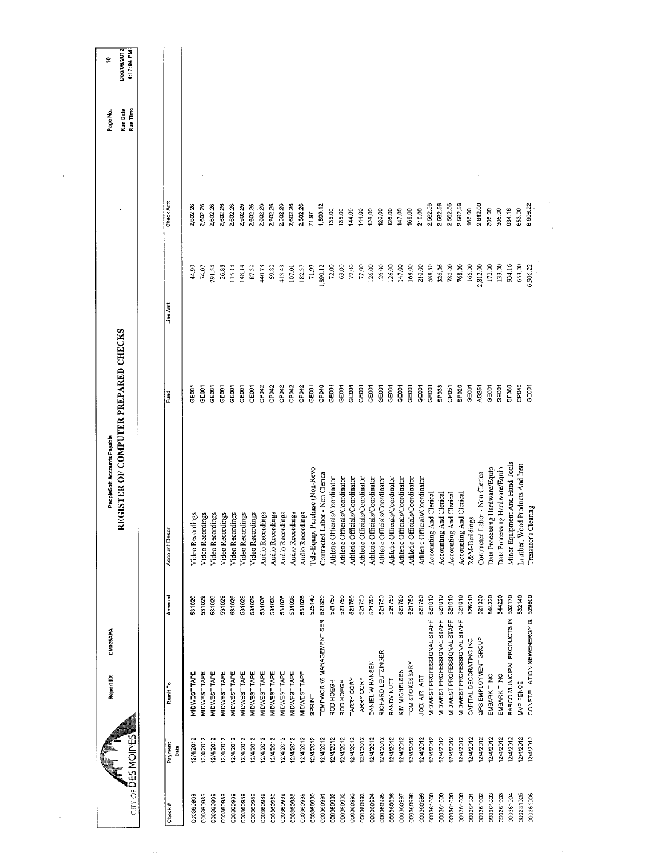| Run Time<br>Check Amt<br>2,602.26<br>1,890.12<br>2,562.56<br>2,562.56<br>2,602.26<br>2,602.26<br>2,602.26<br>2,602.26<br>2,602.26<br>2,602.26<br>2,602.26<br>2,602.26<br>2,602.26<br>2,602.26<br>2,562.56<br>2,562.56<br>2,812.00<br>6,906.22<br>2,602.26<br>166.00<br>305.00<br>934.16<br>653.00<br>210.00<br>305.00<br>135.00<br>144,00<br>144.00<br>147.00<br>168.00<br>135.00<br>126.00<br>126.00<br>126.00<br>71.97<br>147.00<br>168.00<br>688.50<br>780.00<br>166.00<br>2,812.00<br>172.00<br>133.00<br>934.16<br>653,00<br>72,00<br>63.00<br>72.00<br>72.00<br>126.00<br>126.00<br>126,00<br>210.00<br>326.06<br>768.00<br>6,906.22<br>26.88<br>87.39<br>413.49<br>71.97<br>1,890.12<br>291.54<br>115.14<br>148.14<br>59.80<br>182.37<br>44.99<br>74.07<br>440.73<br>107.01<br>Line Amt<br>CP040<br>CP040<br>GE001<br>GE001<br>GE001<br>CP042<br>CP042<br>GE001<br>GE001<br>SP <sub>033</sub><br>SP <sub>020</sub><br>AG251<br>GE001<br>GE001<br>SP <sub>360</sub><br>GE <sub>001</sub><br>GE001<br>GE001<br>GE <sub>001</sub><br>CP042<br>CP042<br>CP042<br>GE001<br>GEOOT<br>GE001<br>GE001<br>GE001<br>GE001<br>GE001<br>GE001<br>GE001<br>GE001<br>GE001<br>GEOOT<br>CP <sub>051</sub><br>Fund<br>Minor Equipment And Hand Tools<br>ood Products And Insu<br>Data Processing Hardware/Equip<br>Tele-Equip. Purchase (Non-Revo<br>Data Processing Hardware/Equip<br>Contracted Labor - Non Clerica<br>Contracted Labor - Non Clerica<br>Athletic Officials/Coordinator<br>Athletic Officials/Coordinator<br>Athletic Officials/Coordinator<br>Athletic Officials/Coordinator<br>Athletic Officials/Coordinator<br>Athletic Officials/Coordinator<br>Athletic Officials/Coordinator<br>Athletic Officials/Coordinator<br>Athletic Officials/Coordinator<br>Athletic Officials/Coordinator<br>Accounting And Clerical<br>Accounting And Clerical<br>Accounting And Clerical<br>Accounting And Clerical<br>Clearly<br>Audio Recordings<br>Audio Recordings<br>Audio Recordings<br>Audio Recordings<br>Audio Recordings<br>Video Recordings<br>Video Recordings<br>Video Recordings<br>Video Recordings<br>Video Recordings<br>Video Recordings<br>Video Recordings<br>R&M-Buildings<br><b>Account Descr</b><br>Lumber, W<br>Treasurer's<br>521010<br>Account<br>521750<br>521010<br>521010<br>521010<br>526010<br>521330<br>544220<br>544220<br>532170<br>532140<br>529800<br>521330<br>521750<br>521750<br>521750<br>521750<br>531029<br>531029<br>531029<br>531026<br>531026<br>531026<br>531026<br>525140<br>521750<br>521750<br>521750<br>521750<br>521750<br>531029<br>531029<br>531029<br>531029<br>531026<br>BARCO MUNICIPAL PRODUCTS IN<br><b>TEMPWORKS MANAGEMENT SER</b><br>CONSTELLATION NEWENERGY G.<br>MIDWEST PROFESSIONAL STAFF<br><b>MIDWEST PROFESSIONAL STAFF</b><br>MIDWEST PROFESSIONAL STAFF<br>MIDWEST PROFESSIONAL STAFF<br>QPS EMPLOYMENT GROUP<br>CAPITAL DECORATING INC<br>RICHARD LEUTZINGER<br>DANIEL W HANSEN<br>TOM STOKESBARY<br>KIM MICHELSEN<br>MIDWEST TAPE<br>MIDWEST TAPE<br>MIDWEST TAPE<br>MIDWEST TAPE<br>MIDWEST TAPE<br>MIDWEST TAPE<br>MIDWEST TAPE<br>MIDWEST TAPE<br>MIDWEST TAPE<br>MIDWEST TAPE<br>MIDWEST TAPE<br>MIDWEST TAPE<br><b>EMBARKIT INC</b><br>EMBARKIT INC<br>JODI AIRHART<br>TARRY CORY<br>TARRY CORY<br>RANDY NUTT<br>ROD HOEGH<br>ROD HOEGH<br>MVP FENCE<br>Remit To<br><b>SPRINT</b><br>City of DESMOINES<br>12/4/2012<br>2/4/2012<br>12/4/2012<br>2/4/2012<br>12/4/2012<br>12/4/2012<br>12/4/2012<br>12/4/2012<br>12/4/2012<br>12/4/2012<br>12/4/2012<br>2/4/2012<br>12/4/2012<br>2/4/2012<br>12/4/2012<br>12/4/2012<br>12/4/2012<br>12/4/2012<br>12/4/2012<br>2/4/2012<br>12/4/2012<br>12/4/2012<br>12/4/2012<br>12/4/2012<br>12/4/2012<br>2/4/2012<br>12/4/2012<br>12/4/2012<br>12/4/2012<br>12/4/2012<br>12/4/2012<br>12/4/2012<br>12/4/2012<br>2/4/2012<br>12/4/2012<br>Payment<br>Date<br>000360993<br>000360995<br>000360996<br>000360998<br>000361000<br>000361000<br>000361000<br>000361000<br>000361003<br>CO0361003<br>000361004<br>000231005<br>000361006<br>000360989<br>000360989<br>000360989<br>000360989<br>000360989<br>000360989<br>000360992<br>000360993<br>000360999<br>000361001<br>000361002<br>000360989<br>000360989<br>000360989<br>000360989<br>000360989<br>000360990<br>000360992<br>000360994<br>000360997<br>000360989<br>000360991<br>Check# | 4:17:04 PM | Report ID: | DM025APA | REGISTER OF COMPUTER PREPARED CHECKS<br>PeopleSoft Accounts Payable |  | Run Date<br>Page No. | Dec/06/2012<br>Ģ |
|----------------------------------------------------------------------------------------------------------------------------------------------------------------------------------------------------------------------------------------------------------------------------------------------------------------------------------------------------------------------------------------------------------------------------------------------------------------------------------------------------------------------------------------------------------------------------------------------------------------------------------------------------------------------------------------------------------------------------------------------------------------------------------------------------------------------------------------------------------------------------------------------------------------------------------------------------------------------------------------------------------------------------------------------------------------------------------------------------------------------------------------------------------------------------------------------------------------------------------------------------------------------------------------------------------------------------------------------------------------------------------------------------------------------------------------------------------------------------------------------------------------------------------------------------------------------------------------------------------------------------------------------------------------------------------------------------------------------------------------------------------------------------------------------------------------------------------------------------------------------------------------------------------------------------------------------------------------------------------------------------------------------------------------------------------------------------------------------------------------------------------------------------------------------------------------------------------------------------------------------------------------------------------------------------------------------------------------------------------------------------------------------------------------------------------------------------------------------------------------------------------------------------------------------------------------------------------------------------------------------------------------------------------------------------------------------------------------------------------------------------------------------------------------------------------------------------------------------------------------------------------------------------------------------------------------------------------------------------------------------------------------------------------------------------------------------------------------------------------------------------------------------------------------------------------------------------------------------------------------------------------------------------------------------------------------------------------------------------------------------------------------------------------------------------------------------------------------------------------------------------------------------------------------------------------------------------------------------------------------------------------------------------------------------------------------------------------------------------------------------------------------------------------------------------------------------------------------------------------------------------------------------------------------------------------------------------------------------------------------------------------------------------------------------------------------------------------------------------------------------------------------------------------------------------------------------------------------------------------------------------------------------------------------------------------------------------------------------------|------------|------------|----------|---------------------------------------------------------------------|--|----------------------|------------------|
|                                                                                                                                                                                                                                                                                                                                                                                                                                                                                                                                                                                                                                                                                                                                                                                                                                                                                                                                                                                                                                                                                                                                                                                                                                                                                                                                                                                                                                                                                                                                                                                                                                                                                                                                                                                                                                                                                                                                                                                                                                                                                                                                                                                                                                                                                                                                                                                                                                                                                                                                                                                                                                                                                                                                                                                                                                                                                                                                                                                                                                                                                                                                                                                                                                                                                                                                                                                                                                                                                                                                                                                                                                                                                                                                                                                                                                                                                                                                                                                                                                                                                                                                                                                                                                                                                                                                                    |            |            |          |                                                                     |  |                      |                  |
|                                                                                                                                                                                                                                                                                                                                                                                                                                                                                                                                                                                                                                                                                                                                                                                                                                                                                                                                                                                                                                                                                                                                                                                                                                                                                                                                                                                                                                                                                                                                                                                                                                                                                                                                                                                                                                                                                                                                                                                                                                                                                                                                                                                                                                                                                                                                                                                                                                                                                                                                                                                                                                                                                                                                                                                                                                                                                                                                                                                                                                                                                                                                                                                                                                                                                                                                                                                                                                                                                                                                                                                                                                                                                                                                                                                                                                                                                                                                                                                                                                                                                                                                                                                                                                                                                                                                                    |            |            |          |                                                                     |  |                      |                  |
|                                                                                                                                                                                                                                                                                                                                                                                                                                                                                                                                                                                                                                                                                                                                                                                                                                                                                                                                                                                                                                                                                                                                                                                                                                                                                                                                                                                                                                                                                                                                                                                                                                                                                                                                                                                                                                                                                                                                                                                                                                                                                                                                                                                                                                                                                                                                                                                                                                                                                                                                                                                                                                                                                                                                                                                                                                                                                                                                                                                                                                                                                                                                                                                                                                                                                                                                                                                                                                                                                                                                                                                                                                                                                                                                                                                                                                                                                                                                                                                                                                                                                                                                                                                                                                                                                                                                                    |            |            |          |                                                                     |  |                      |                  |
|                                                                                                                                                                                                                                                                                                                                                                                                                                                                                                                                                                                                                                                                                                                                                                                                                                                                                                                                                                                                                                                                                                                                                                                                                                                                                                                                                                                                                                                                                                                                                                                                                                                                                                                                                                                                                                                                                                                                                                                                                                                                                                                                                                                                                                                                                                                                                                                                                                                                                                                                                                                                                                                                                                                                                                                                                                                                                                                                                                                                                                                                                                                                                                                                                                                                                                                                                                                                                                                                                                                                                                                                                                                                                                                                                                                                                                                                                                                                                                                                                                                                                                                                                                                                                                                                                                                                                    |            |            |          |                                                                     |  |                      |                  |
|                                                                                                                                                                                                                                                                                                                                                                                                                                                                                                                                                                                                                                                                                                                                                                                                                                                                                                                                                                                                                                                                                                                                                                                                                                                                                                                                                                                                                                                                                                                                                                                                                                                                                                                                                                                                                                                                                                                                                                                                                                                                                                                                                                                                                                                                                                                                                                                                                                                                                                                                                                                                                                                                                                                                                                                                                                                                                                                                                                                                                                                                                                                                                                                                                                                                                                                                                                                                                                                                                                                                                                                                                                                                                                                                                                                                                                                                                                                                                                                                                                                                                                                                                                                                                                                                                                                                                    |            |            |          |                                                                     |  |                      |                  |
|                                                                                                                                                                                                                                                                                                                                                                                                                                                                                                                                                                                                                                                                                                                                                                                                                                                                                                                                                                                                                                                                                                                                                                                                                                                                                                                                                                                                                                                                                                                                                                                                                                                                                                                                                                                                                                                                                                                                                                                                                                                                                                                                                                                                                                                                                                                                                                                                                                                                                                                                                                                                                                                                                                                                                                                                                                                                                                                                                                                                                                                                                                                                                                                                                                                                                                                                                                                                                                                                                                                                                                                                                                                                                                                                                                                                                                                                                                                                                                                                                                                                                                                                                                                                                                                                                                                                                    |            |            |          |                                                                     |  |                      |                  |
|                                                                                                                                                                                                                                                                                                                                                                                                                                                                                                                                                                                                                                                                                                                                                                                                                                                                                                                                                                                                                                                                                                                                                                                                                                                                                                                                                                                                                                                                                                                                                                                                                                                                                                                                                                                                                                                                                                                                                                                                                                                                                                                                                                                                                                                                                                                                                                                                                                                                                                                                                                                                                                                                                                                                                                                                                                                                                                                                                                                                                                                                                                                                                                                                                                                                                                                                                                                                                                                                                                                                                                                                                                                                                                                                                                                                                                                                                                                                                                                                                                                                                                                                                                                                                                                                                                                                                    |            |            |          |                                                                     |  |                      |                  |
|                                                                                                                                                                                                                                                                                                                                                                                                                                                                                                                                                                                                                                                                                                                                                                                                                                                                                                                                                                                                                                                                                                                                                                                                                                                                                                                                                                                                                                                                                                                                                                                                                                                                                                                                                                                                                                                                                                                                                                                                                                                                                                                                                                                                                                                                                                                                                                                                                                                                                                                                                                                                                                                                                                                                                                                                                                                                                                                                                                                                                                                                                                                                                                                                                                                                                                                                                                                                                                                                                                                                                                                                                                                                                                                                                                                                                                                                                                                                                                                                                                                                                                                                                                                                                                                                                                                                                    |            |            |          |                                                                     |  |                      |                  |
|                                                                                                                                                                                                                                                                                                                                                                                                                                                                                                                                                                                                                                                                                                                                                                                                                                                                                                                                                                                                                                                                                                                                                                                                                                                                                                                                                                                                                                                                                                                                                                                                                                                                                                                                                                                                                                                                                                                                                                                                                                                                                                                                                                                                                                                                                                                                                                                                                                                                                                                                                                                                                                                                                                                                                                                                                                                                                                                                                                                                                                                                                                                                                                                                                                                                                                                                                                                                                                                                                                                                                                                                                                                                                                                                                                                                                                                                                                                                                                                                                                                                                                                                                                                                                                                                                                                                                    |            |            |          |                                                                     |  |                      |                  |
|                                                                                                                                                                                                                                                                                                                                                                                                                                                                                                                                                                                                                                                                                                                                                                                                                                                                                                                                                                                                                                                                                                                                                                                                                                                                                                                                                                                                                                                                                                                                                                                                                                                                                                                                                                                                                                                                                                                                                                                                                                                                                                                                                                                                                                                                                                                                                                                                                                                                                                                                                                                                                                                                                                                                                                                                                                                                                                                                                                                                                                                                                                                                                                                                                                                                                                                                                                                                                                                                                                                                                                                                                                                                                                                                                                                                                                                                                                                                                                                                                                                                                                                                                                                                                                                                                                                                                    |            |            |          |                                                                     |  |                      |                  |
|                                                                                                                                                                                                                                                                                                                                                                                                                                                                                                                                                                                                                                                                                                                                                                                                                                                                                                                                                                                                                                                                                                                                                                                                                                                                                                                                                                                                                                                                                                                                                                                                                                                                                                                                                                                                                                                                                                                                                                                                                                                                                                                                                                                                                                                                                                                                                                                                                                                                                                                                                                                                                                                                                                                                                                                                                                                                                                                                                                                                                                                                                                                                                                                                                                                                                                                                                                                                                                                                                                                                                                                                                                                                                                                                                                                                                                                                                                                                                                                                                                                                                                                                                                                                                                                                                                                                                    |            |            |          |                                                                     |  |                      |                  |
|                                                                                                                                                                                                                                                                                                                                                                                                                                                                                                                                                                                                                                                                                                                                                                                                                                                                                                                                                                                                                                                                                                                                                                                                                                                                                                                                                                                                                                                                                                                                                                                                                                                                                                                                                                                                                                                                                                                                                                                                                                                                                                                                                                                                                                                                                                                                                                                                                                                                                                                                                                                                                                                                                                                                                                                                                                                                                                                                                                                                                                                                                                                                                                                                                                                                                                                                                                                                                                                                                                                                                                                                                                                                                                                                                                                                                                                                                                                                                                                                                                                                                                                                                                                                                                                                                                                                                    |            |            |          |                                                                     |  |                      |                  |
|                                                                                                                                                                                                                                                                                                                                                                                                                                                                                                                                                                                                                                                                                                                                                                                                                                                                                                                                                                                                                                                                                                                                                                                                                                                                                                                                                                                                                                                                                                                                                                                                                                                                                                                                                                                                                                                                                                                                                                                                                                                                                                                                                                                                                                                                                                                                                                                                                                                                                                                                                                                                                                                                                                                                                                                                                                                                                                                                                                                                                                                                                                                                                                                                                                                                                                                                                                                                                                                                                                                                                                                                                                                                                                                                                                                                                                                                                                                                                                                                                                                                                                                                                                                                                                                                                                                                                    |            |            |          |                                                                     |  |                      |                  |
|                                                                                                                                                                                                                                                                                                                                                                                                                                                                                                                                                                                                                                                                                                                                                                                                                                                                                                                                                                                                                                                                                                                                                                                                                                                                                                                                                                                                                                                                                                                                                                                                                                                                                                                                                                                                                                                                                                                                                                                                                                                                                                                                                                                                                                                                                                                                                                                                                                                                                                                                                                                                                                                                                                                                                                                                                                                                                                                                                                                                                                                                                                                                                                                                                                                                                                                                                                                                                                                                                                                                                                                                                                                                                                                                                                                                                                                                                                                                                                                                                                                                                                                                                                                                                                                                                                                                                    |            |            |          |                                                                     |  |                      |                  |
|                                                                                                                                                                                                                                                                                                                                                                                                                                                                                                                                                                                                                                                                                                                                                                                                                                                                                                                                                                                                                                                                                                                                                                                                                                                                                                                                                                                                                                                                                                                                                                                                                                                                                                                                                                                                                                                                                                                                                                                                                                                                                                                                                                                                                                                                                                                                                                                                                                                                                                                                                                                                                                                                                                                                                                                                                                                                                                                                                                                                                                                                                                                                                                                                                                                                                                                                                                                                                                                                                                                                                                                                                                                                                                                                                                                                                                                                                                                                                                                                                                                                                                                                                                                                                                                                                                                                                    |            |            |          |                                                                     |  |                      |                  |
|                                                                                                                                                                                                                                                                                                                                                                                                                                                                                                                                                                                                                                                                                                                                                                                                                                                                                                                                                                                                                                                                                                                                                                                                                                                                                                                                                                                                                                                                                                                                                                                                                                                                                                                                                                                                                                                                                                                                                                                                                                                                                                                                                                                                                                                                                                                                                                                                                                                                                                                                                                                                                                                                                                                                                                                                                                                                                                                                                                                                                                                                                                                                                                                                                                                                                                                                                                                                                                                                                                                                                                                                                                                                                                                                                                                                                                                                                                                                                                                                                                                                                                                                                                                                                                                                                                                                                    |            |            |          |                                                                     |  |                      |                  |
|                                                                                                                                                                                                                                                                                                                                                                                                                                                                                                                                                                                                                                                                                                                                                                                                                                                                                                                                                                                                                                                                                                                                                                                                                                                                                                                                                                                                                                                                                                                                                                                                                                                                                                                                                                                                                                                                                                                                                                                                                                                                                                                                                                                                                                                                                                                                                                                                                                                                                                                                                                                                                                                                                                                                                                                                                                                                                                                                                                                                                                                                                                                                                                                                                                                                                                                                                                                                                                                                                                                                                                                                                                                                                                                                                                                                                                                                                                                                                                                                                                                                                                                                                                                                                                                                                                                                                    |            |            |          |                                                                     |  |                      |                  |
|                                                                                                                                                                                                                                                                                                                                                                                                                                                                                                                                                                                                                                                                                                                                                                                                                                                                                                                                                                                                                                                                                                                                                                                                                                                                                                                                                                                                                                                                                                                                                                                                                                                                                                                                                                                                                                                                                                                                                                                                                                                                                                                                                                                                                                                                                                                                                                                                                                                                                                                                                                                                                                                                                                                                                                                                                                                                                                                                                                                                                                                                                                                                                                                                                                                                                                                                                                                                                                                                                                                                                                                                                                                                                                                                                                                                                                                                                                                                                                                                                                                                                                                                                                                                                                                                                                                                                    |            |            |          |                                                                     |  |                      |                  |
|                                                                                                                                                                                                                                                                                                                                                                                                                                                                                                                                                                                                                                                                                                                                                                                                                                                                                                                                                                                                                                                                                                                                                                                                                                                                                                                                                                                                                                                                                                                                                                                                                                                                                                                                                                                                                                                                                                                                                                                                                                                                                                                                                                                                                                                                                                                                                                                                                                                                                                                                                                                                                                                                                                                                                                                                                                                                                                                                                                                                                                                                                                                                                                                                                                                                                                                                                                                                                                                                                                                                                                                                                                                                                                                                                                                                                                                                                                                                                                                                                                                                                                                                                                                                                                                                                                                                                    |            |            |          |                                                                     |  |                      |                  |
|                                                                                                                                                                                                                                                                                                                                                                                                                                                                                                                                                                                                                                                                                                                                                                                                                                                                                                                                                                                                                                                                                                                                                                                                                                                                                                                                                                                                                                                                                                                                                                                                                                                                                                                                                                                                                                                                                                                                                                                                                                                                                                                                                                                                                                                                                                                                                                                                                                                                                                                                                                                                                                                                                                                                                                                                                                                                                                                                                                                                                                                                                                                                                                                                                                                                                                                                                                                                                                                                                                                                                                                                                                                                                                                                                                                                                                                                                                                                                                                                                                                                                                                                                                                                                                                                                                                                                    |            |            |          |                                                                     |  |                      |                  |
|                                                                                                                                                                                                                                                                                                                                                                                                                                                                                                                                                                                                                                                                                                                                                                                                                                                                                                                                                                                                                                                                                                                                                                                                                                                                                                                                                                                                                                                                                                                                                                                                                                                                                                                                                                                                                                                                                                                                                                                                                                                                                                                                                                                                                                                                                                                                                                                                                                                                                                                                                                                                                                                                                                                                                                                                                                                                                                                                                                                                                                                                                                                                                                                                                                                                                                                                                                                                                                                                                                                                                                                                                                                                                                                                                                                                                                                                                                                                                                                                                                                                                                                                                                                                                                                                                                                                                    |            |            |          |                                                                     |  |                      |                  |
|                                                                                                                                                                                                                                                                                                                                                                                                                                                                                                                                                                                                                                                                                                                                                                                                                                                                                                                                                                                                                                                                                                                                                                                                                                                                                                                                                                                                                                                                                                                                                                                                                                                                                                                                                                                                                                                                                                                                                                                                                                                                                                                                                                                                                                                                                                                                                                                                                                                                                                                                                                                                                                                                                                                                                                                                                                                                                                                                                                                                                                                                                                                                                                                                                                                                                                                                                                                                                                                                                                                                                                                                                                                                                                                                                                                                                                                                                                                                                                                                                                                                                                                                                                                                                                                                                                                                                    |            |            |          |                                                                     |  |                      |                  |
|                                                                                                                                                                                                                                                                                                                                                                                                                                                                                                                                                                                                                                                                                                                                                                                                                                                                                                                                                                                                                                                                                                                                                                                                                                                                                                                                                                                                                                                                                                                                                                                                                                                                                                                                                                                                                                                                                                                                                                                                                                                                                                                                                                                                                                                                                                                                                                                                                                                                                                                                                                                                                                                                                                                                                                                                                                                                                                                                                                                                                                                                                                                                                                                                                                                                                                                                                                                                                                                                                                                                                                                                                                                                                                                                                                                                                                                                                                                                                                                                                                                                                                                                                                                                                                                                                                                                                    |            |            |          |                                                                     |  |                      |                  |
|                                                                                                                                                                                                                                                                                                                                                                                                                                                                                                                                                                                                                                                                                                                                                                                                                                                                                                                                                                                                                                                                                                                                                                                                                                                                                                                                                                                                                                                                                                                                                                                                                                                                                                                                                                                                                                                                                                                                                                                                                                                                                                                                                                                                                                                                                                                                                                                                                                                                                                                                                                                                                                                                                                                                                                                                                                                                                                                                                                                                                                                                                                                                                                                                                                                                                                                                                                                                                                                                                                                                                                                                                                                                                                                                                                                                                                                                                                                                                                                                                                                                                                                                                                                                                                                                                                                                                    |            |            |          |                                                                     |  |                      |                  |
|                                                                                                                                                                                                                                                                                                                                                                                                                                                                                                                                                                                                                                                                                                                                                                                                                                                                                                                                                                                                                                                                                                                                                                                                                                                                                                                                                                                                                                                                                                                                                                                                                                                                                                                                                                                                                                                                                                                                                                                                                                                                                                                                                                                                                                                                                                                                                                                                                                                                                                                                                                                                                                                                                                                                                                                                                                                                                                                                                                                                                                                                                                                                                                                                                                                                                                                                                                                                                                                                                                                                                                                                                                                                                                                                                                                                                                                                                                                                                                                                                                                                                                                                                                                                                                                                                                                                                    |            |            |          |                                                                     |  |                      |                  |
|                                                                                                                                                                                                                                                                                                                                                                                                                                                                                                                                                                                                                                                                                                                                                                                                                                                                                                                                                                                                                                                                                                                                                                                                                                                                                                                                                                                                                                                                                                                                                                                                                                                                                                                                                                                                                                                                                                                                                                                                                                                                                                                                                                                                                                                                                                                                                                                                                                                                                                                                                                                                                                                                                                                                                                                                                                                                                                                                                                                                                                                                                                                                                                                                                                                                                                                                                                                                                                                                                                                                                                                                                                                                                                                                                                                                                                                                                                                                                                                                                                                                                                                                                                                                                                                                                                                                                    |            |            |          |                                                                     |  |                      |                  |
|                                                                                                                                                                                                                                                                                                                                                                                                                                                                                                                                                                                                                                                                                                                                                                                                                                                                                                                                                                                                                                                                                                                                                                                                                                                                                                                                                                                                                                                                                                                                                                                                                                                                                                                                                                                                                                                                                                                                                                                                                                                                                                                                                                                                                                                                                                                                                                                                                                                                                                                                                                                                                                                                                                                                                                                                                                                                                                                                                                                                                                                                                                                                                                                                                                                                                                                                                                                                                                                                                                                                                                                                                                                                                                                                                                                                                                                                                                                                                                                                                                                                                                                                                                                                                                                                                                                                                    |            |            |          |                                                                     |  |                      |                  |
|                                                                                                                                                                                                                                                                                                                                                                                                                                                                                                                                                                                                                                                                                                                                                                                                                                                                                                                                                                                                                                                                                                                                                                                                                                                                                                                                                                                                                                                                                                                                                                                                                                                                                                                                                                                                                                                                                                                                                                                                                                                                                                                                                                                                                                                                                                                                                                                                                                                                                                                                                                                                                                                                                                                                                                                                                                                                                                                                                                                                                                                                                                                                                                                                                                                                                                                                                                                                                                                                                                                                                                                                                                                                                                                                                                                                                                                                                                                                                                                                                                                                                                                                                                                                                                                                                                                                                    |            |            |          |                                                                     |  |                      |                  |
|                                                                                                                                                                                                                                                                                                                                                                                                                                                                                                                                                                                                                                                                                                                                                                                                                                                                                                                                                                                                                                                                                                                                                                                                                                                                                                                                                                                                                                                                                                                                                                                                                                                                                                                                                                                                                                                                                                                                                                                                                                                                                                                                                                                                                                                                                                                                                                                                                                                                                                                                                                                                                                                                                                                                                                                                                                                                                                                                                                                                                                                                                                                                                                                                                                                                                                                                                                                                                                                                                                                                                                                                                                                                                                                                                                                                                                                                                                                                                                                                                                                                                                                                                                                                                                                                                                                                                    |            |            |          |                                                                     |  |                      |                  |
|                                                                                                                                                                                                                                                                                                                                                                                                                                                                                                                                                                                                                                                                                                                                                                                                                                                                                                                                                                                                                                                                                                                                                                                                                                                                                                                                                                                                                                                                                                                                                                                                                                                                                                                                                                                                                                                                                                                                                                                                                                                                                                                                                                                                                                                                                                                                                                                                                                                                                                                                                                                                                                                                                                                                                                                                                                                                                                                                                                                                                                                                                                                                                                                                                                                                                                                                                                                                                                                                                                                                                                                                                                                                                                                                                                                                                                                                                                                                                                                                                                                                                                                                                                                                                                                                                                                                                    |            |            |          |                                                                     |  |                      |                  |
|                                                                                                                                                                                                                                                                                                                                                                                                                                                                                                                                                                                                                                                                                                                                                                                                                                                                                                                                                                                                                                                                                                                                                                                                                                                                                                                                                                                                                                                                                                                                                                                                                                                                                                                                                                                                                                                                                                                                                                                                                                                                                                                                                                                                                                                                                                                                                                                                                                                                                                                                                                                                                                                                                                                                                                                                                                                                                                                                                                                                                                                                                                                                                                                                                                                                                                                                                                                                                                                                                                                                                                                                                                                                                                                                                                                                                                                                                                                                                                                                                                                                                                                                                                                                                                                                                                                                                    |            |            |          |                                                                     |  |                      |                  |
|                                                                                                                                                                                                                                                                                                                                                                                                                                                                                                                                                                                                                                                                                                                                                                                                                                                                                                                                                                                                                                                                                                                                                                                                                                                                                                                                                                                                                                                                                                                                                                                                                                                                                                                                                                                                                                                                                                                                                                                                                                                                                                                                                                                                                                                                                                                                                                                                                                                                                                                                                                                                                                                                                                                                                                                                                                                                                                                                                                                                                                                                                                                                                                                                                                                                                                                                                                                                                                                                                                                                                                                                                                                                                                                                                                                                                                                                                                                                                                                                                                                                                                                                                                                                                                                                                                                                                    |            |            |          |                                                                     |  |                      |                  |
|                                                                                                                                                                                                                                                                                                                                                                                                                                                                                                                                                                                                                                                                                                                                                                                                                                                                                                                                                                                                                                                                                                                                                                                                                                                                                                                                                                                                                                                                                                                                                                                                                                                                                                                                                                                                                                                                                                                                                                                                                                                                                                                                                                                                                                                                                                                                                                                                                                                                                                                                                                                                                                                                                                                                                                                                                                                                                                                                                                                                                                                                                                                                                                                                                                                                                                                                                                                                                                                                                                                                                                                                                                                                                                                                                                                                                                                                                                                                                                                                                                                                                                                                                                                                                                                                                                                                                    |            |            |          |                                                                     |  |                      |                  |
|                                                                                                                                                                                                                                                                                                                                                                                                                                                                                                                                                                                                                                                                                                                                                                                                                                                                                                                                                                                                                                                                                                                                                                                                                                                                                                                                                                                                                                                                                                                                                                                                                                                                                                                                                                                                                                                                                                                                                                                                                                                                                                                                                                                                                                                                                                                                                                                                                                                                                                                                                                                                                                                                                                                                                                                                                                                                                                                                                                                                                                                                                                                                                                                                                                                                                                                                                                                                                                                                                                                                                                                                                                                                                                                                                                                                                                                                                                                                                                                                                                                                                                                                                                                                                                                                                                                                                    |            |            |          |                                                                     |  |                      |                  |
|                                                                                                                                                                                                                                                                                                                                                                                                                                                                                                                                                                                                                                                                                                                                                                                                                                                                                                                                                                                                                                                                                                                                                                                                                                                                                                                                                                                                                                                                                                                                                                                                                                                                                                                                                                                                                                                                                                                                                                                                                                                                                                                                                                                                                                                                                                                                                                                                                                                                                                                                                                                                                                                                                                                                                                                                                                                                                                                                                                                                                                                                                                                                                                                                                                                                                                                                                                                                                                                                                                                                                                                                                                                                                                                                                                                                                                                                                                                                                                                                                                                                                                                                                                                                                                                                                                                                                    |            |            |          |                                                                     |  |                      |                  |
|                                                                                                                                                                                                                                                                                                                                                                                                                                                                                                                                                                                                                                                                                                                                                                                                                                                                                                                                                                                                                                                                                                                                                                                                                                                                                                                                                                                                                                                                                                                                                                                                                                                                                                                                                                                                                                                                                                                                                                                                                                                                                                                                                                                                                                                                                                                                                                                                                                                                                                                                                                                                                                                                                                                                                                                                                                                                                                                                                                                                                                                                                                                                                                                                                                                                                                                                                                                                                                                                                                                                                                                                                                                                                                                                                                                                                                                                                                                                                                                                                                                                                                                                                                                                                                                                                                                                                    |            |            |          |                                                                     |  |                      |                  |
|                                                                                                                                                                                                                                                                                                                                                                                                                                                                                                                                                                                                                                                                                                                                                                                                                                                                                                                                                                                                                                                                                                                                                                                                                                                                                                                                                                                                                                                                                                                                                                                                                                                                                                                                                                                                                                                                                                                                                                                                                                                                                                                                                                                                                                                                                                                                                                                                                                                                                                                                                                                                                                                                                                                                                                                                                                                                                                                                                                                                                                                                                                                                                                                                                                                                                                                                                                                                                                                                                                                                                                                                                                                                                                                                                                                                                                                                                                                                                                                                                                                                                                                                                                                                                                                                                                                                                    |            |            |          |                                                                     |  |                      |                  |
|                                                                                                                                                                                                                                                                                                                                                                                                                                                                                                                                                                                                                                                                                                                                                                                                                                                                                                                                                                                                                                                                                                                                                                                                                                                                                                                                                                                                                                                                                                                                                                                                                                                                                                                                                                                                                                                                                                                                                                                                                                                                                                                                                                                                                                                                                                                                                                                                                                                                                                                                                                                                                                                                                                                                                                                                                                                                                                                                                                                                                                                                                                                                                                                                                                                                                                                                                                                                                                                                                                                                                                                                                                                                                                                                                                                                                                                                                                                                                                                                                                                                                                                                                                                                                                                                                                                                                    |            |            |          |                                                                     |  |                      |                  |
|                                                                                                                                                                                                                                                                                                                                                                                                                                                                                                                                                                                                                                                                                                                                                                                                                                                                                                                                                                                                                                                                                                                                                                                                                                                                                                                                                                                                                                                                                                                                                                                                                                                                                                                                                                                                                                                                                                                                                                                                                                                                                                                                                                                                                                                                                                                                                                                                                                                                                                                                                                                                                                                                                                                                                                                                                                                                                                                                                                                                                                                                                                                                                                                                                                                                                                                                                                                                                                                                                                                                                                                                                                                                                                                                                                                                                                                                                                                                                                                                                                                                                                                                                                                                                                                                                                                                                    |            |            |          |                                                                     |  |                      |                  |
|                                                                                                                                                                                                                                                                                                                                                                                                                                                                                                                                                                                                                                                                                                                                                                                                                                                                                                                                                                                                                                                                                                                                                                                                                                                                                                                                                                                                                                                                                                                                                                                                                                                                                                                                                                                                                                                                                                                                                                                                                                                                                                                                                                                                                                                                                                                                                                                                                                                                                                                                                                                                                                                                                                                                                                                                                                                                                                                                                                                                                                                                                                                                                                                                                                                                                                                                                                                                                                                                                                                                                                                                                                                                                                                                                                                                                                                                                                                                                                                                                                                                                                                                                                                                                                                                                                                                                    |            |            |          |                                                                     |  |                      |                  |

 $\sim 10^7$ 

 $\sim$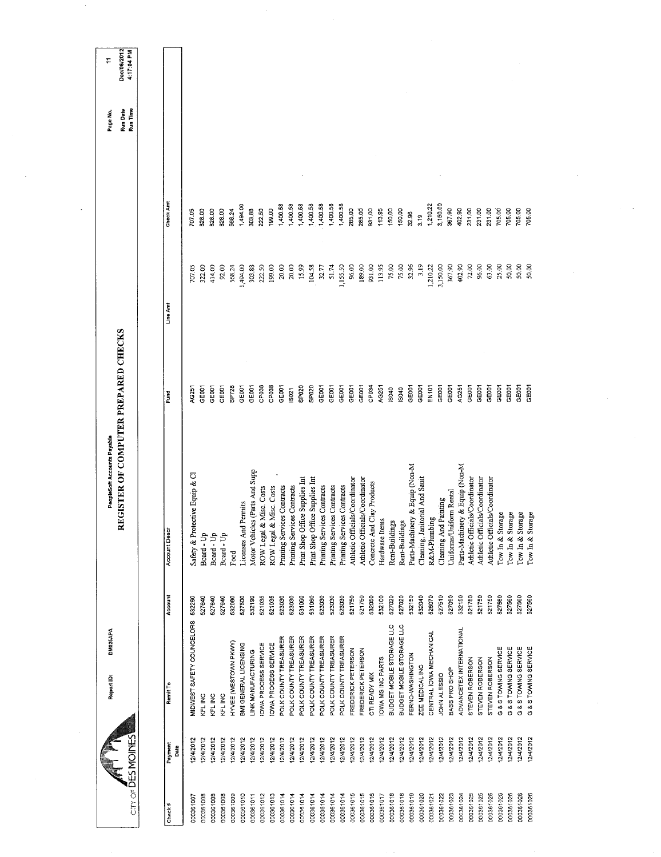| Dec/06/2012<br>÷<br><b>Run Date</b><br>Page No. | 4:17:04 PM<br>Run Time |                 |                                |                          |                        |                      |                                             |                                                              |                            |                             |                                                |                                                                  |                             |                             |                             |                                |                                                              |                   |                           |                           |                                |                                                |                       |                         |                                                                  |                                |                                |                      |                      |                      |                      |  |  |
|-------------------------------------------------|------------------------|-----------------|--------------------------------|--------------------------|------------------------|----------------------|---------------------------------------------|--------------------------------------------------------------|----------------------------|-----------------------------|------------------------------------------------|------------------------------------------------------------------|-----------------------------|-----------------------------|-----------------------------|--------------------------------|--------------------------------------------------------------|-------------------|---------------------------|---------------------------|--------------------------------|------------------------------------------------|-----------------------|-------------------------|------------------------------------------------------------------|--------------------------------|--------------------------------|----------------------|----------------------|----------------------|----------------------|--|--|
|                                                 |                        | Check Amt       | 707.05                         | 828.00<br>828.00         | 828.00                 | 568.24               | 1,494.00<br>303.88                          | 222.50                                                       | 199.00                     | 1,400.58                    | 1,400.58<br>1,400.58                           | 1,400.58                                                         | 1,400.58                    | 1,400.58                    | 1,400.58                    | 285.00                         | 285.00<br>931.00                                             | 113.95            | 150,00                    | 150.00                    | 32.96                          | 1,210.22<br>3.19                               | 3,150.00              | 367.90                  | 402.90<br>231.00                                                 | 231.00                         | 231.00                         | 705.00               | 705.00               | 705.00<br>705.00     |                      |  |  |
|                                                 |                        | Line Amt        | 707.05                         | 322.00<br>414,00         | 92.00                  | 568.24               | 1,494.00<br>303.88                          | 222.50                                                       | 199.00                     | 20.00                       | 20.00<br>15.99                                 | 104.58                                                           | 32.77                       | 51.74                       | 1,155.50                    | 96.00                          | 189.00<br>931.00                                             | 113.95            | 75.00                     | 75.00                     | 32.96                          | 3.19<br>1,210.22                               | 3,150.00              | 367.90                  | 402.90<br>72.00                                                  | 96.00                          | 63.00                          | 25.00                | 50.00                | 50.00<br>50.00       |                      |  |  |
| REGISTER OF COMPUTER PREPARED CHECKS            |                        | Fund            | AG251                          | GE001<br>GE001           | GE001                  | SP728                | GE001<br>GE001                              | CP038                                                        | CP <sub>038</sub>          | GE001                       | SPO <sub>20</sub><br><b>ISO21</b>              | SP020                                                            | GEOOT                       | GE001                       | GEOOT                       | GE001                          | GE001<br>CP034                                               | AG251             | IS040                     | IS040                     | GE001                          | GE <sub>001</sub><br><b>EN101</b>              | GE001                 | GE <sub>001</sub>       | AG251<br>GE001                                                   | GE001                          | GE001                          | GE001                | GE001                | GE001<br>GEOOT       |                      |  |  |
| PeopleSoft Accounts Payable                     |                        | Account Descr   | Safety & Protective Equip & Cl | Board - Up<br>Board - Up | Board - Up             | Food                 | Licenses And Permits                        | Motor Vehicles (Parts And Supp<br>& Misc. Costs<br>ROW Legal | & Misc. Costs<br>ROW Legal | Printing Services Contracts | Printing Services Contracts                    | Print Shop Office Supplies Int<br>Print Shop Office Supplies Int | Printing Services Contracts | Printing Services Contracts | Printing Services Contracts | Athletic Officials/Coordinator | Athletic Officials/Coordinator<br>Concrete And Clay Products | Hardware Items    | Rent-Buildings            | Rent-Buildings            | Parts-Machinery & Equip (Non-M | Cleaning, Janitorial And Sanit<br>R&M-Plumbing | Cleaning And Painting | Uniforms/Uniform Rental | Parts-Machinery & Equip (Non-M<br>Athletic Officials/Coordinator | Athletic Officials/Coordinator | Athletic Officials/Coordinator | Tow In & Storage     | Tow In & Storage     | Tow In & Storage     | Tow In & Storage     |  |  |
|                                                 |                        | Account         | 532260                         | 527640<br>527640         | 527640                 | 532080               | 527500<br>532190                            | 521035                                                       | 521035                     | 523030                      | 531060<br>523030                               | 531060                                                           | 523030                      | 523030                      | 523030                      | 521750                         | 521750<br>532050                                             | 532100            | 527020                    | 527020                    | 532150                         | 532040<br>528070                               | 527510                | 527090                  | 521750<br>532150                                                 | 521750                         | 521750                         | 527560               | 527560               | 527560<br>527560     |                      |  |  |
| DM025APA<br>Report ID:                          |                        | Remit To        | MIDWEST SAFETY COUNCELORS      | KFL INC                  | KFL INC<br>KFL INC     | HYVEE (WESTOWN PKWY) | BMI GENERAL LICENSING<br>LINK MANUFACTURING | IOWA PROCESS SERVICE                                         | <b>OWA PROCESS SERVICE</b> | POLK COUNTY TREASURER       | POLK COUNTY TREASURER<br>POLK COUNTY TREASURER | POLK COUNTY TREASURER                                            | POLK COUNTY TREASURER       | POLK COUNTY TREASURER       | POLK COUNTY TREASURER       | FREDERICK PETERSON             | FREDERICK PETERSON<br>CTI READY MIX                          | IOWA MS INC PARTS | BUDGET MOBILE STORAGE LLC | BUDGET MOBILE STORAGE LLC | FERNO-WASHINGTON               | CENTRAL IOWA MECHANICAL<br>ZEE MEDICAL INC     | JOHN ALESSIO          | BASS PRO SHOP           | ADVANCETEX INTERNATIONAL<br>STEVEN ROBERSON                      | STEVEN ROBERSON                | STEVEN ROBERSON                | G & S TOWING SERVICE | G & S TOWING SERVICE | G & S TOWING SERVICE | G & S TOWING SERVICE |  |  |
|                                                 | City OF DES MOINES     | Payment<br>Date | 12/4/2012                      | 12/4/2012                | 12/4/2012<br>12/4/2012 | 12/4/2012            | 12/4/2012<br>12/4/2012                      | 12/4/2012                                                    | 12/4/2012                  | 12/4/2012                   | 12/4/2012<br>12/4/2012                         | 12/4/2012                                                        | 12/4/2012                   | 12/4/2012                   | 12/4/2012                   | 12/4/2012                      | 12/4/2012<br>12/4/2012                                       | 12/4/2012         | 12/4/2012                 | 12/4/2012                 | 12/4/2012                      | 12/4/2012<br>12/4/2012                         | 12/4/2012             | 12/4/2012               | 12/4/2012<br>12/4/2012                                           | 12/4/2012                      | 12/4/2012                      | 12/4/2012            | 12/4/2012            | 12/4/2012            | 12/4/2012            |  |  |
|                                                 |                        | Check#          | 000361007                      | 000361008                | 000361008<br>000361008 | 000361009            | 000361010                                   | 000361011<br>000351012                                       | 000361013                  | 000361014                   | 000361014<br>000361014                         | 000361014                                                        | 000361014                   | 000361014                   | 000361014                   | 000361015                      | 000361015<br>000361016                                       | 000361017         | 000361018                 | 000361018                 | 000361019                      | 000361020<br>000361021                         | 000361022             | 000361023               | 000361024<br>000361025                                           | 000361025                      | 000361025                      | 000361026            | 000361026            | 000361026            | 000361026            |  |  |

 $\label{eq:2.1} \frac{1}{\sqrt{2\pi}}\int_{0}^{\infty}\frac{1}{\sqrt{2\pi}}\left(\frac{1}{\sqrt{2\pi}}\right)^{2\pi} \frac{1}{\sqrt{2\pi}}\int_{0}^{\infty}\frac{1}{\sqrt{2\pi}}\left(\frac{1}{\sqrt{2\pi}}\right)^{2\pi} \frac{1}{\sqrt{2\pi}}\frac{1}{\sqrt{2\pi}}\int_{0}^{\infty}\frac{1}{\sqrt{2\pi}}\frac{1}{\sqrt{2\pi}}\frac{1}{\sqrt{2\pi}}\frac{1}{\sqrt{2\pi}}\frac{1}{\sqrt{2\pi}}\frac{1}{\sqrt{$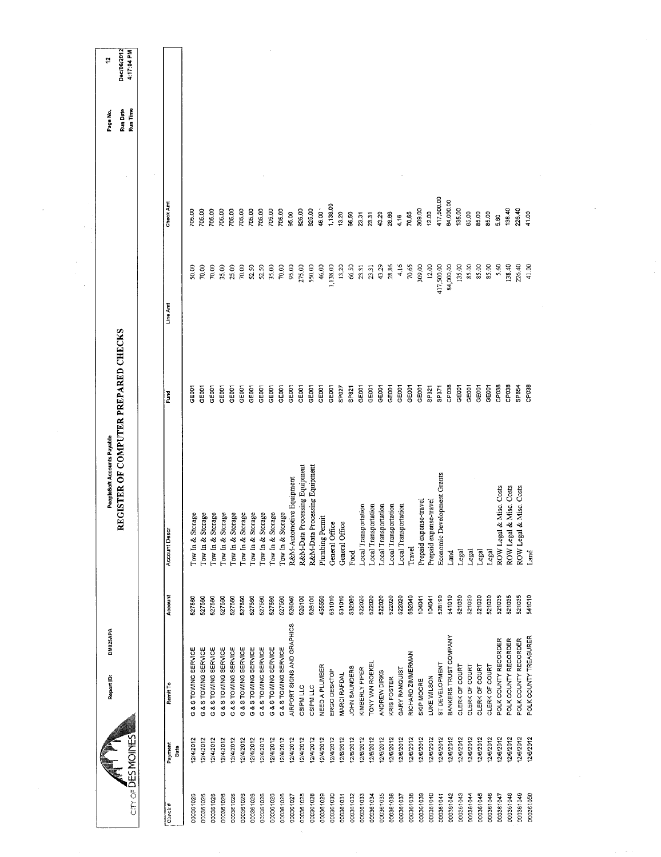|                   |                 | DM025APA<br>Report ID:     |         | PeopleSoft Accounts Payable          |                   |            |            | Page No.             | ÷,                        |
|-------------------|-----------------|----------------------------|---------|--------------------------------------|-------------------|------------|------------|----------------------|---------------------------|
| city of DESMOINES |                 |                            |         | REGISTER OF COMPUTER PREPARED CHECKS |                   |            |            | Run Time<br>Run Date | Dec/06/2012<br>4:17:04 PM |
|                   |                 |                            |         |                                      |                   |            |            |                      |                           |
| Check#            | Payment<br>Date | Remit To                   | Account | <b>Account Descr</b>                 | Ĕ                 | Line Amt   | Check Am   |                      |                           |
| 000361026         | 2/4/2012        | G & S TOWING SERVICE       | 527560  | Storage<br>Tow In $\&$               | GE001             | 50,00      | 705.00     |                      |                           |
| 000361026         | 2/4/2012        | G & S TOWING SERVICE       | 527560  | Tow In & Storage                     | GE001             | 70.00      | 705.00     |                      |                           |
| 000361026         | 2/4/2012        | G & S TOWING SERVICE       | 527560  | Tow In & Storage                     | GE001             | 70.00      | 0500       |                      |                           |
| 000361026         | 2/4/2012        | G & S TOWING SERVICE       | 527560  | Tow In & Storage                     | GE001             | 35.00      | 705.00     |                      |                           |
| 000361026         | 2/4/2012        | G & S TOWING SERVICE       | 527560  | Tow In & Storage                     | GE001             | 25.00      | 705.00     |                      |                           |
| 000361026         | 2/4/2012        | G & S TOWING SERVICE       | 527560  | Tow In & Storage                     | GE <sub>001</sub> | 70.00      | 705.00     |                      |                           |
| 000361026         | 12/4/2012       | G & S TOWING SERVICE       | 527560  | Tow In & Storage                     | GE001             | 52.50      | 705.00     |                      |                           |
| 000361026         | 12/4/2012       | G & S TOWING SERVICE       | 527560  | Tow In & Storage                     | GE001             | 52.50      | 705.00     |                      |                           |
| 000361026         | 12/4/2012       | G & S TOWING SERVICE       | 527560  | Tow In & Storage                     | GE001             | 35.00      | 705.00     |                      |                           |
| 000361026         | 2/4/2012        | G & S TOWING SERVICE       | 527560  | Tow In & Storage                     | GE001             | 70.00      | 705,00     |                      |                           |
| 00036102          | 12/4/2012       | AIRPORT SIGNS AND GRAPHICS | 526040  | R&M-Automotive Equipment             | GE001             | 95.00      | 95.00      |                      |                           |
| 000361028         | 12/4/2012       | CSIPM LLC                  | 526100  | R&M-Data Processing Equipment        | GE001             | 275.00     | 825.00     |                      |                           |
| 000361028         | 2/4/2012        | CSIPM LLC                  | 526100  | R&M-Data Processing Equipment        | GE001             | 550,00     | 825.00     |                      |                           |
| 000361029         | 12/4/2012       | NEED A PLUMBER             | 455550  | Plumbing Permit                      | GE001             | 46.00      | 46.00      |                      |                           |
| 000361030         | 12/4/2012       | ERGO DESKTOP               | 531010  | General Office                       | GE001             | 1,138.00   | 1,138.00   |                      |                           |
| 000361031         | 2/6/2012        | <b>MARCI RAFDAL</b>        | 531010  | General Office                       | SP027             | 13.20      | 13.20      |                      |                           |
| 000361032         | 12/8/2012       | JOHN SAUNDERS              | 532080  | Food                                 | SP821             | 66.50      | 66.50      |                      |                           |
| 000361033         | 12/6/2012       | KIMBERLY PIPER             | 522020  | Local Transportation                 | GE001             | 23.31      | 23.31      |                      |                           |
| 000361034         | 12/6/2012       | ONY VAN ROEKEI             | 522020  | Local Transportation                 | GE001             | 23.31      | 23.31      |                      |                           |
| 000361035         | 12/8/2012       | ANDREW DIRKS               | 522020  | Local Transportation                 | GE001             | 43.29      | 43.29      |                      |                           |
| 000361036         | 12/6/2012       | KRIS FOSTER                | 522020  | Local Transportation                 | GE001             | 28.86      | 28.86      |                      |                           |
| 000361037         | 12/6/2012       | GARY RAMQUIST              | 522020  | Local Transportation                 | GE001             | 4.16       | 4.16       |                      |                           |
| 000361038         | 12/6/2012       | RICHARD ZIMMERMAN          | 562040  | Travel                               | GE001             | 70.65      | 70.65      |                      |                           |
| 000361039         | 12/6/2012       | SKIP MOORE                 | 104041  | Prepaid expense-travel               | GE001             | 309.00     | 309.00     |                      |                           |
| 000361040         | 12/6/2012       | LUKE WILSON                | 104041  | Prepaid expense-travel               | SP321             | 12.00      | 12.00      |                      |                           |
| 000361041         | 12/6/2012       | ST DEVELOPMENT             | 528190  | Economic Development Grants          | SP371             | 417,500.00 | 417,500.00 |                      |                           |
| 000361042         | 12/6/2012       | BANKERS TRUST COMPANY      | 541010  | Land                                 | CP <sub>038</sub> | 84,000.00  | 84,000.00  |                      |                           |
| 000361043         | 2/6/2012        | CLERK OF COURT             | 521030  | Legal                                | GE001             | 135.00     | 135.00     |                      |                           |
| 000361044         | 12/6/2012       | CLERK OF COURT             | 521030  | Legal                                | GE001             | 85.00      | 85.00      |                      |                           |
| 000361045         | 12/6/2012       | CLERK OF COURT             | 521030  | Legal                                | GE001             | 85.00      | 85.00      |                      |                           |
| 000361046         | 2/6/2012        | <b>CLERK OF COURT</b>      | 521030  | Legal                                | GE001             | 85.00      | 85.00      |                      |                           |
| 000361047         | 12/6/2012       | POLK COUNTY RECORDER       | 521035  | ROW Legal & Misc. Costs              | CP038             | 5.60       | 5,60       |                      |                           |
| 000361048         | 12/6/2012       | POLK COUNTY RECORDER       | 521035  | ROW Legal & Misc. Costs              | CP038             | 138.40     | 138.40     |                      |                           |
| 000361049         | 2/6/2012        | POLK COUNTY RECORDER       | 521035  | ROW Legal & Misc. Costs              | SP854             | 226.40     | 226.40     |                      |                           |
| 000361050         | 12/6/2012       | POLK COUNTY TREASURER      | 541010  | Land                                 | CP <sub>038</sub> | 41.00      | 41.00      |                      |                           |
|                   |                 |                            |         |                                      |                   |            |            |                      |                           |

 $\bar{\beta}$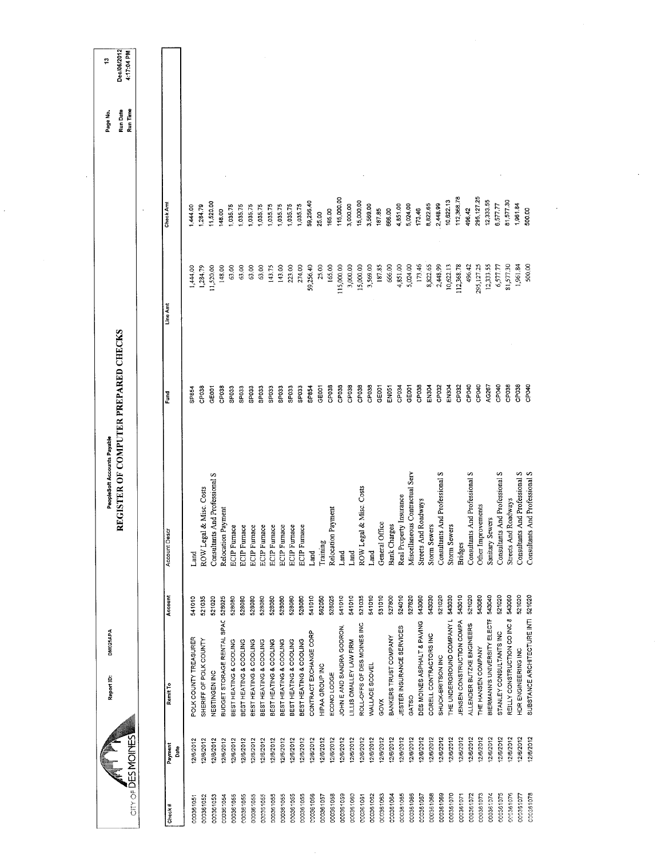|                        |                        | DM025APA<br>Report ID:                           |                  | REGISTER OF COMPUTER PREPARED CHECKS<br>PeopleSoft Accounts Payable |                   |                      |                    | Run Time<br>Run Date<br>Page No. | Dec/06/2012<br>4:17:04 PM<br>÷, |
|------------------------|------------------------|--------------------------------------------------|------------------|---------------------------------------------------------------------|-------------------|----------------------|--------------------|----------------------------------|---------------------------------|
|                        | City of DES MOINES     |                                                  |                  |                                                                     |                   |                      |                    |                                  |                                 |
| Check#                 | Payment<br>Date        | Remit To                                         | Account          | Account Descr                                                       | Fund              | Line Amt             | Check Amt          |                                  |                                 |
| 00036105               | 12/6/2012              | POLK COUNTY TREASURER                            | 541010           | Land                                                                | SP854             | 1,444.00             | 1,444.00           |                                  |                                 |
| 000361052              | 12/6/2012              | SHERIFF OF POLK COUNTY                           | 521035           | & Misc. Costs<br>ROW Legal                                          | CP038             | 1,284.79             | 1,284.79           |                                  |                                 |
| 000361053              | 12/6/2012              | NESTINGEN INC                                    | 521020           | Consultants And Professional S                                      | GEOOT             | 11,520.00            | 11,520.00          |                                  |                                 |
| 000361054              | 12/6/2012              | BUDGET STORAGE RENTAL SPAC                       | 528025           | Relocation Payment                                                  | CP038             | 148.00               | 1,035.75<br>148.00 |                                  |                                 |
| 000361055              | 12/6/2012              | BEST HEATING & COOLING<br>BEST HEATING & COOLING | 528080           | <b>ECIP</b> Furnace                                                 | SPO33<br>SPO33    | 63.00<br>63.00       | 1,035.75           |                                  |                                 |
| 000361055<br>000361055 | 12/6/2012<br>12/6/2012 | BEST HEATING & COOLING                           | 528080<br>528080 | <b>ECIP</b> Furnace<br><b>ECIP</b> Furnace                          | SPO33             | 63.00                | 1,035.75           |                                  |                                 |
| 000361055              | 12/6/2012              | BEST HEATING & COOLING                           | 528080           | <b>ECIP</b> Furnace                                                 | SP033             | 63.00                | 1,035.75           |                                  |                                 |
| 000361055              | 12/6/2012              | BEST HEATING & COOLING                           | 528080           | <b>ECIP</b> Furnace                                                 | SP <sub>033</sub> | 143.75               | 1,035.75           |                                  |                                 |
| 000361055              | 12/6/2012              | BEST HEATING & COOLING                           | 528080           | <b>ECIP</b> Furnace                                                 | SPO <sub>33</sub> | 143.00               | 1,035.75           |                                  |                                 |
| 000361055              | 12/6/2012              | BEST HEATING & COOLING                           | 528080           | ECIP Furnace                                                        | SP033             | 223.00               | 1,035.75           |                                  |                                 |
| 000361055              | 12/6/2012              | BEST HEATING & COOLING                           | 528080           | <b>ECIP</b> Furnace                                                 | SPO33             | 274.00               | 1,035.75           |                                  |                                 |
| 000361056              | 12/6/2012              | CONTRACT EXCHANGE CORP                           | 541010           | Land                                                                | SP854             | 59,256.40            | 59,256.40          |                                  |                                 |
| 000361057              | 12/6/2012              | HIPAA GROUP INC                                  | 562050           | Training                                                            | GE001             | 25.00                | 25.00              |                                  |                                 |
| 000361058              | 12/6/2012              | ECONO LODGE                                      | 528025           | Relocation Payment                                                  | CP038             | 165.00               | 165.00             |                                  |                                 |
| 000361059              | 12/6/2012              | JOHN E AND SANDRA GODRON,                        | 541010           | Land                                                                | CP <sub>038</sub> | 115,000.00           | 115,000.00         |                                  |                                 |
| 000361060              | 12/6/2012              | LILLIS OMALLEY LAW FIRM                          | 541010           | Land                                                                | CP <sub>038</sub> | 3,000.00             | 3,000,00           |                                  |                                 |
| 000361061              | 12/6/2012              | ROLL-OFFS OF DES MOINES INC                      | 521035           | & Misc. Costs<br>ROW Legal                                          | CP038             | 15,000.00            | 15,000.00          |                                  |                                 |
| 000361062              | 12/6/2012              | WALLACE SCOVEL                                   | 541010           | Land                                                                | CP <sub>038</sub> | 3,569.00             | 3,569.00           |                                  |                                 |
| 000361063              | 12/6/2012              | GOVX                                             | 531010           | General Office                                                      | GE001             | 187.85               | 187.85<br>666.00   |                                  |                                 |
| 000361064              | 12/6/2012              | BANKERS TRUST COMPANY                            | 527800           | Bank Charges                                                        | EN051             | 666.00               | 4,851.00           |                                  |                                 |
| 000361065              | 12/6/2012              | JESTER INSURANCE SERVICES                        | 527620<br>524010 | Real Property Insurance                                             | GE001<br>CP034    | 4,851.00<br>5,024.00 | 5,024.00           |                                  |                                 |
| 000361066              | 12/6/2012              | DES MOINES ASPHALT & PAVING<br>GATSO             | 543060           | Miscellaneous Contractual Serv                                      | CP038             | 173.46               | 173.46             |                                  |                                 |
| 000361068<br>000361067 | 12/6/2012<br>12/6/2012 | CORELL CONTRACTORS INC                           | 543030           | <b>Streets And Roadways</b><br><b>Storm Sewers</b>                  | EN <sub>304</sub> | 8,822.65             | 8,822.65           |                                  |                                 |
| 000361069              | 12/6/2012              | SHUCK-BRITSON INC                                | 521020           | Consultants And Professional S                                      | CP032             | 2,448.99             | 2,448.99           |                                  |                                 |
| 000361070              | 12/6/2012              | THE UNDERGROUND COMPANY L                        | 543030           | <b>Storm Sewers</b>                                                 | EN304             | 10,622.13            | 10,622.13          |                                  |                                 |
| 000361071              | 12/6/2012              | JENSEN CONSTRUCTION COMPA                        | 543010           | <b>Bridges</b>                                                      | CP032             | 112,368.78           | 112,368.78         |                                  |                                 |
| 000361072              | 12/6/2012              | ALLENDER BUTZKE ENGINEERS                        | 521020           | Consultants And Professional S                                      | CP040             | 496.42               | 496,42             |                                  |                                 |
| 000361073              | 12/6/2012              | THE HANSEN COMPANY                               | 543080           | Other Improvements                                                  | CPO4D             | 295,127.25           | 295, 127.25        |                                  |                                 |
| 000361074              | 12/6/2012              | BIERMANN'S UNIVERSITY ELECTF                     | 543040           | Sanitary Sewers                                                     | AG267             | 12,333.55            | 12,333.55          |                                  |                                 |
| 000361075              | 12/6/2012              | STANLEY CONSULTANTS INC                          | 521020           | Consultants And Professional S                                      | CP040             | 6,577.77             | 6,577.77           |                                  |                                 |
| 000361076              | 12/6/2012              | REILLY CONSTRUCTION CO INC 8                     | 543060           | Roadways<br>Streets And                                             | CP038             | 81,577.30            | 81,577.30          |                                  |                                 |
| 000361077              | 2/6/2012               | HDR ENGINEERING INC                              | 521020           | Consultants And Professional S                                      | CP038             | 1,961.84             | 1,961.84           |                                  |                                 |
| 000361078              | 12/6/2012              | SUBSTANCE ARCHITECTURE INTI                      | 521020           | Consultants And Professional S                                      | CP040             | 500.00               | 500.00             |                                  |                                 |

 $\frac{1}{2} \sum_{i=1}^{n} \frac{1}{2} \sum_{j=1}^{n} \frac{1}{2} \sum_{j=1}^{n} \frac{1}{2} \sum_{j=1}^{n} \frac{1}{2} \sum_{j=1}^{n} \frac{1}{2} \sum_{j=1}^{n} \frac{1}{2} \sum_{j=1}^{n} \frac{1}{2} \sum_{j=1}^{n} \frac{1}{2} \sum_{j=1}^{n} \frac{1}{2} \sum_{j=1}^{n} \frac{1}{2} \sum_{j=1}^{n} \frac{1}{2} \sum_{j=1}^{n} \frac{1}{2} \sum_{j=1}^{n$ 

 $\label{eq:2.1} \frac{1}{\sqrt{2}}\int_{\mathbb{R}^3}\frac{1}{\sqrt{2}}\left(\frac{1}{\sqrt{2}}\right)^2\frac{1}{\sqrt{2}}\left(\frac{1}{\sqrt{2}}\right)^2\frac{1}{\sqrt{2}}\left(\frac{1}{\sqrt{2}}\right)^2.$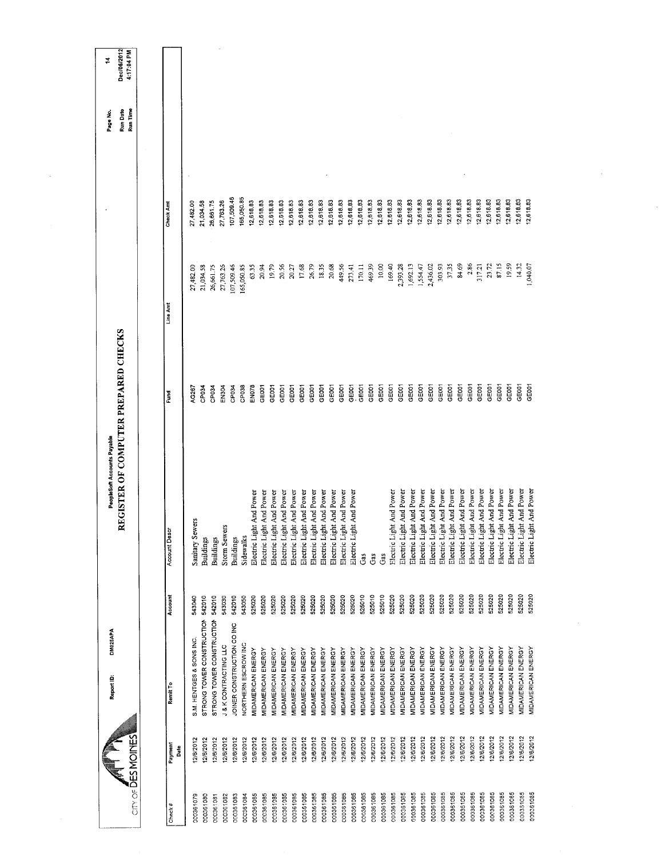|                    |                 | DM025APA<br>Report ID:           |         | REGISTER OF COMPUTER PREPARED CHECKS<br>PeopleSoft Accounts Payable |                   |            |                  | Run Date<br>Page No. | Dec/06/2012<br>4:17:04 PM<br>$\sharp$ |
|--------------------|-----------------|----------------------------------|---------|---------------------------------------------------------------------|-------------------|------------|------------------|----------------------|---------------------------------------|
| City OF DES MOINES |                 |                                  |         |                                                                     |                   |            |                  | Run Time             |                                       |
|                    |                 |                                  |         |                                                                     |                   |            |                  |                      |                                       |
| Check#             | Payment<br>Date | Remit <sub>To</sub>              | Account | Account Descr                                                       | Fund              | Line Am    | <b>Check Amt</b> |                      |                                       |
| 000361079          | 2/6/2012        | S.M. HENTGES & SONS INC.         | 543040  | Sanitary Sewers                                                     | AG267             | 27,482.00  | 27,482.00        |                      |                                       |
| 000361080          | 12/6/2012       | STRONG TOWER CONSTRUCTION        | 542010  | <b>Buildings</b>                                                    | CP034             | 21,034.58  | 21,034.58        |                      |                                       |
| 000361081          | 12/6/2012       | STRONG TOWER CONSTRUCTION        | 542010  | <b>Buildings</b>                                                    | CP034             | 26,661.75  | 26,661.75        |                      |                                       |
| 000361082          | 12/6/2012       | <b>J &amp; K CONTRACTING LLC</b> | 543030  | <b>Storm Sewers</b>                                                 | EN304             | 27,763.26  | 27,763.26        |                      |                                       |
| 000361083          | 12/6/2012       | JOINER CONSTRUCTION CO INC       | 542010  | <b>Buildings</b>                                                    | CP034             | 07,509.46  | 107,509.46       |                      |                                       |
| 000361084          | 12/6/2012       | NORTHERN ESCROW INC              | 543050  | Sidewalks                                                           | CP <sub>038</sub> | 165,050.85 | 165,050.85       |                      |                                       |
| 000361085          | 12/6/2012       | MIDAMERICAN ENERGY               | 525020  | Electric Light And Power                                            | EN078             | 63.35      | 12,618.83        |                      |                                       |
| 000361085          | 12/6/2012       | MIDAMERICAN ENERGY               | 525020  | Electric Light And Power                                            | GE001             | 20.94      | 12,618.83        |                      |                                       |
| 000361085          | 12/6/2012       | MIDAMERICAN ENERGY               | 525020  | Electric Light And Power                                            | GE001             | 19.79      | 12,618.83        |                      |                                       |
| 000361085          | 12/6/2012       | MIDAMERICAN ENERGY               | 525020  | Electric Light And Power                                            | GE001             | 20.56      | 12,618.83        |                      |                                       |
| 000361085          | 12/6/2012       | MIDAMERICAN ENERGY               | 525020  | Electric Light And Power                                            | GE001             | 20.27      | 12,618.83        |                      |                                       |
| 000361085          | 12/6/2012       | MIDAMERICAN ENERGY               | 525020  | Electric Light And Power                                            | GE001             | 17.68      | 12,618.83        |                      |                                       |
| 000361085          | 2/6/2012        | <b>JIDAMERICAN ENERGY</b>        | 525020  | Electric Light And Power                                            | GE001             | 26.79      | 12,618.83        |                      |                                       |
| 000361085          | 12/6/2012       | MIDAMERICAN ENERGY               | 525020  | Electric Light And Power                                            | GE001             | 18.35      | 12,618.83        |                      |                                       |
| 000361085          | 12/8/2012       | MIDAMERICAN ENERGY               | 525020  | Electric Light And Power                                            | GE001             | 20,68      | 12,618.83        |                      |                                       |
| 000361085          | 2/6/2012        | <b>MIDAMERICAN ENERGY</b>        | 525020  | Electric Light And Power                                            | GE001             | 449.56     | 12,618.83        |                      |                                       |
| 000361085          | 12/6/2012       | MIDAMERICAN ENERGY               | 525020  | Electric Light And Power                                            | GE001             | 273.41     | 12,618.83        |                      |                                       |
| 000361085          | 12/6/2012       | <b>MIDAMERICAN ENERGY</b>        | 525010  | Ĝã                                                                  | GE001             | 170.11     | 12,618.83        |                      |                                       |
| 000361085          | 12/6/2012       | MIDAMERICAN ENERGY               | 525010  | Gas                                                                 | GE001             | 469.39     | 12,618.83        |                      |                                       |
| 000361085          | 12/6/2012       | MIDAMERICAN ENERGY               | 525010  | Gas                                                                 | GE001             | 10.00      | 12,618.83        |                      |                                       |
| 000361085          | 12/6/2012       | MIDAMERICAN ENERGY               | 525020  | Electric Light And Power                                            | GE001             | 169.40     | 12,618.83        |                      |                                       |
| 000361085          | 2/6/2012        | <b>MIDAMERICAN ENERGY</b>        | 525020  | Electric Light And Power                                            | CEOO1             | 2,393.28   | 12,618.83        |                      |                                       |
| 000361085          | 12/6/2012       | MIDAMERICAN ENERGY               | 525020  | Electric Light And Power                                            | GE001             | 1,692.13   | 12,618.83        |                      |                                       |
| 000361085          | 12/6/2012       | <b>MIDAMERICAN ENERGY</b>        | 525020  | Electric Light And Power                                            | GE001             | 1,554.47   | 12,618.83        |                      |                                       |
| 000361085          | 12/6/2012       | <b>VIDAMERICAN ENERGY</b>        | 525020  | Electric Light And Power                                            | GE <sub>001</sub> | 2,436.02   | 12,618.83        |                      |                                       |
| 000361085          | 12/6/2012       | MIDAMERICAN ENERGY               | 525020  | Electric Light And Power                                            | GE001             | 303.93     | 12,618.83        |                      |                                       |
| 000361085          | 12/6/2012       | <b>MIDAMERICAN ENERGY</b>        | 525020  | Electric Light And Power                                            | GE001             | 37.35      | 12,618.83        |                      |                                       |
| 000361085          | 12/6/2012       | <b>MIDAMERICAN ENERGY</b>        | 525020  | Electric Light And Power                                            | GE001             | 84.69      | 12,618.83        |                      |                                       |
| 000361085          | 12/6/2012       | MIDAMERICAN ENERGY               | 525020  | Electric Light And Power                                            | GE <sub>001</sub> | 2.86       | 12,618.83        |                      |                                       |
| 000361085          | 12/6/2012       | <b>MIDAMERICAN ENERGY</b>        | 525020  | Electric Light And Power                                            | GE001             | 317.21     | 12,618.83        |                      |                                       |
| 000361085          | 12/6/2012       | <b>VIDAMERICAN ENERGY</b>        | 525020  | Electric Light And Power                                            | GE001             | 23.72      | 12,618.83        |                      |                                       |
| 000361085          | 12/6/2012       | <b>MIDAMERICAN ENERGY</b>        | 525020  | Electric Light And Power                                            | GE001             | 87.15      | 12,618.83        |                      |                                       |
| 000361085          | 2/6/2012        | <b><i>MIDAMERICAN ENERGY</i></b> | 525020  | Electric Light And Power                                            | GE001             | 19.59      | 12,618.83        |                      |                                       |
| 000361085          | 2/6/2012        | <b>MIDAMERICAN ENERGY</b>        | 525020  | Electric Light And Power                                            | GE001             | 14.32      | 12,618.83        |                      |                                       |
| 000261085          | 12/6/2012       | <b>VIIDAMERICAN ENERGY</b>       | 525020  | Electric Light And Power                                            | GE001             | 1,040.07   | 12,618.83        |                      |                                       |
|                    |                 |                                  |         |                                                                     |                   |            |                  |                      |                                       |

 $\hat{\mathcal{A}}$ 

 $\sim 10^{-11}$ 

 $\hat{\mathcal{A}}$